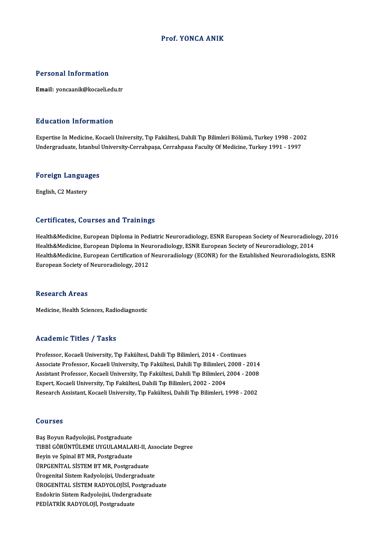#### Prof. YONCA ANIK

#### Personal Information

Email: yoncaanik@kocaeli.edu.tr

#### Education Information

E<mark>ducation Information</mark><br>Expertise In Medicine, Kocaeli University, Tıp Fakültesi, Dahili Tıp Bilimleri Bölümü, Turkey 1998 - 2002<br>Undergraduate İstanbul University Carrabnese Carrabnese Faculty Of Medicine, Turkey 1991, 19 2u u sutrom minomination<br>Expertise In Medicine, Kocaeli University, Tıp Fakültesi, Dahili Tıp Bilimleri Bölümü, Turkey 1998 - 200<br>Undergraduate, İstanbul University-Cerrahpaşa, Cerrahpasa Faculty Of Medicine, Turkey 1991 -

## <sub>ondergraduate, istanbul</sub><br>Foreign Languages F<mark>oreign Langua</mark><br>English, C2 Mastery

# English, C2 Mastery<br>Certificates, Courses and Trainings

Health&Medicine, European Diploma in Pediatric Neuroradiology, ESNR European Society of Neuroradiology, 2016 Health&Medicine, European Diploma in Neuroradiology, ESNR European Society of Neuroradiology, 2014 Health&Medicine, European Diploma in Pediatric Neuroradiology, ESNR European Society of Neuroradiology, 2016<br>Health&Medicine, European Diploma in Neuroradiology, ESNR European Society of Neuroradiology, 2014<br>Health&Medicin Health&Medicine, European Diploma in Neu<br>Health&Medicine, European Certification of<br>European Society of Neuroradiology, 2012 European Society of Neuroradiology, 2012<br>Research Areas

Medicine, Health Sciences, Radiodiagnostic

#### Academic Titles / Tasks

Professor, Kocaeli University, Tıp Fakültesi, Dahili Tıp Bilimleri, 2014 - Continues Associate Articus / Austra<br>Professor, Kocaeli University, Tıp Fakültesi, Dahili Tıp Bilimleri, 2014 - Continues<br>Associate Professor, Kocaeli University, Tıp Fakültesi, Dahili Tıp Bilimleri, 2008 - 2014<br>Assistant Professor, Professor, Kocaeli University, Tıp Fakültesi, Dahili Tıp Bilimleri, 2014 - Continues<br>Associate Professor, Kocaeli University, Tıp Fakültesi, Dahili Tıp Bilimleri, 2008 - 2014<br>Assistant Professor, Kocaeli University, Tıp Fa Associate Professor, Kocaeli University, Tıp Fakültesi, Dahili Tıp Bilimleri,<br>Assistant Professor, Kocaeli University, Tıp Fakültesi, Dahili Tıp Bilimleri, İ<br>Expert, Kocaeli University, Tıp Fakültesi, Dahili Tıp Bilimleri, Assistant Professor, Kocaeli University, Tıp Fakültesi, Dahili Tıp Bilimleri, 2004 - 2008<br>Expert, Kocaeli University, Tıp Fakültesi, Dahili Tıp Bilimleri, 2002 - 2004<br>Research Assistant, Kocaeli University, Tıp Fakültesi,

#### Courses

Baş Boyun Radyolojisi, Postgraduate SSAT*ISSI*<br>Baş Boyun Radyolojisi, Postgraduate<br>TIBBİ GÖRÜNTÜLEME UYGULAMALARI-II, Associate Degree<br>Revin ve Spinal PT MB, Rostgraduate Baş Boyun Radyolojisi, Postgraduate<br>TIBBİ GÖRÜNTÜLEME UYGULAMALA<br>Beyin ve Spinal BT MR, Postgraduate<br>ÜPPCENİTAL SİSTEM PT MP, Postgra TIBBİ GÖRÜNTÜLEME UYGULAMALARI-II, A<br>Beyin ve Spinal BT MR, Postgraduate<br>ÜRPGENİTAL SİSTEM BT MR, Postgraduate<br>Ürogenital Sistem Bodyolejisi, Undergraduat Beyin ve Spinal BT MR, Postgraduate<br>ÜRPGENİTAL SİSTEM BT MR, Postgraduate<br>Ürogenital Sistem Radyolojisi, Undergraduate ÜRPGENİTAL SİSTEM BT MR, Postgraduate<br>Ürogenital Sistem Radyolojisi, Undergraduate<br>ÜROGENİTAL SİSTEM RADYOLOJİSİ, Postgraduate<br>Endelmin Sistem Bedvelejisi, Undergraduate Ürogenital Sistem Radyolojisi, Undergraduate<br>ÜROGENİTAL SİSTEM RADYOLOJİSİ, Postgrad<br>Endokrin Sistem Radyolojisi, Undergraduate<br>PEDİATRİK RADYOLOJİ, Rostanaduate ÜROGENİTAL SİSTEM RADYOLOJİSİ, P<br>Endokrin Sistem Radyolojisi, Undergr:<br>PEDİATRİK RADYOLOJİ, Postgraduate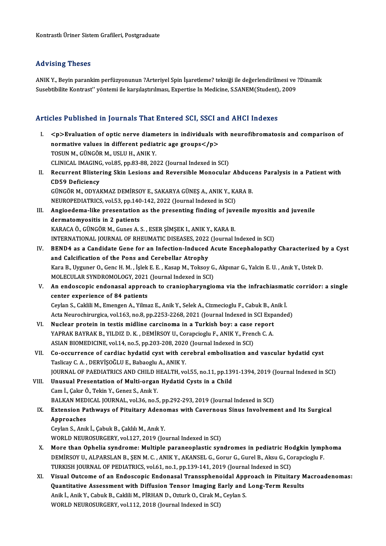#### Advising Theses

Advising Theses<br>ANIK Y., Beyin parankim perfüzyonunun ?Arteriyel Spin İşaretleme? tekniği ile değerlendirilmesi ve ?Dinamik<br>Susebtiblika Kontrast'' vöntemi ile karsılastrılması, Evnertise In Medicine S SANEM(Student), 2009 114 v 1511.<br>ANIK Y., Beyin parankim perfüzyonunun ?Arteriyel Spin İşaretleme? tekniği ile değerlendirilmesi ve<br>Susebtibilite Kontrast'' yöntemi ile karşılaştırılması, Expertise In Medicine, S.SANEM(Student), 2009

# Susebtibilite Kontrast'' yöntemi ile karşılaştırılması, Expertise In Medicine, S.SANEM(Student), 2009<br>Articles Published in Journals That Entered SCI, SSCI and AHCI Indexes

I. <p>Evaluation of optic nerve diameters in individuals with neurofibromatosis and comparison of  $p > 1$  absolute in journals that interest bost and  $p > 2$  and  $p > 3$  and  $p > 4$  and  $p > 5$  and  $p > 5$  and  $p > 5$  and  $p > 5$  and  $p > 5$  and  $p > 5$  and  $p > 5$  and  $p > 5$  and  $p > 5$  and  $p > 5$  and  $p > 5$  and  $p > 5$  and  $p > 5$ Sp>Evaluation of optic nerve diamer<br>normative values in different pediat<br>TOSUN M., GÜNGÖR M., USLU H., ANIK Y.<br>CUNICAL IMACING yol 95 nn 92.99.20. normative values in different pediatric age groups</p>TOSUN M., GÜNGÖR M., USLU H., ANIK Y.<br>CLINICAL IMAGING, vol.85, pp.83-88, 2022 (Journal Indexed in SCI)<br>Begunnant Blistaning Skin Legians and Boueraible Managular TOSUN M., GÜNGÖR M., USLU H., ANIK Y.<br>CLINICAL IMAGING, vol.85, pp.83-88, 2022 (Journal Indexed in SCI)<br>II. Recurrent Blistering Skin Lesions and Reversible Monocular Abducens Paralysis in a Patient with<br>CD59 Deficiency CLINICAL IMAGING, vol.85, pp.83-88, 2022 (Journal Indexed in SCI) Recurrent Blistering Skin Lesions and Reversible Monocular Abduce<br>CD59 Deficiency<br>GÜNGÖR M., ODYAKMAZ DEMİRSOY E., SAKARYA GÜNEŞ A., ANIK Y., KARA B.<br>NEUPOPEDIATRICS .val 53. pp.140.143.2022 (Journal Indoved in SC). CD59 Deficiency<br>GÜNGÖR M., ODYAKMAZ DEMİRSOY E., SAKARYA GÜNEŞ A., ANIK Y., K.<br>NEUROPEDIATRICS, vol.53, pp.140-142, 2022 (Journal Indexed in SCI)<br>Angioedama like presentation as the presenting finding of iuv GÜNGÖR M., ODYAKMAZ DEMİRSOY E., SAKARYA GÜNEŞ A., ANIK Y., KARA B.<br>NEUROPEDIATRICS, vol.53, pp.140-142, 2022 (Journal Indexed in SCI)<br>III. Angioedema-like presentation as the presenting finding of juvenile myositis an NEUROPEDIATRICS, vol.53, pp.140<br>Angioedema-like presentation<br>dermatomyositis in 2 patients<br>KARACAÖ CÜNCÖBM Cunes A Angioedema-like presentation as the presenting finding of juvedermatomyositis in 2 patients<br>KARACA Ö., GÜNGÖR M., Gunes A. S. , ESER ŞİMŞEK I., ANIK Y., KARA B.<br>INTERNATIONAL JOURNAL OF RHEUMATIC DISEASES 2022 (Journal I dermatomyositis in 2 patients<br>KARACA Ö., GÜNGÖR M., Gunes A. S. , ESER ŞİMŞEK I., ANIK Y., KARA B.<br>INTERNATIONAL JOURNAL OF RHEUMATIC DISEASES, 2022 (Journal Indexed in SCI)<br>BENDA 25.3 Candidate Cane for an Infection Induc KARACA Ö., GÜNGÖR M., Gunes A. S. , ESER ŞİMŞEK I., ANIK Y., KARA B.<br>INTERNATIONAL JOURNAL OF RHEUMATIC DISEASES, 2022 (Journal Indexed in SCI)<br>IV. BEND4 as a Candidate Gene for an Infection-Induced Acute Encephalopathy Ch INTERNATIONAL JOURNAL OF RHEUMATIC DISEASES, 2022<br>BEND4 as a Candidate Gene for an Infection-Induced<br>and Calcification of the Pons and Cerebellar Atrophy<br>Kara B. Uygunor O. Cons H. M. Jolek E. E. Kasan M. Teksov BEND4 as a Candidate Gene for an Infection-Induced Acute Encephalopathy Characterized land Calcification of the Pons and Cerebellar Atrophy<br>Kara B., Uyguner O., Genc H. M. , İşlek E. E. , Kasap M., Toksoy G., Akpınar G., Y and Calcification of the Pons and Cerebellar Atrophy<br>Kara B., Uyguner O., Genc H. M. , İşlek E. E. , Kasap M., Toksoy G<br>MOLECULAR SYNDROMOLOGY, 2021 (Journal Indexed in SCI)<br>An andessenis andenesel annuasab te suanianbarun Kara B., Uyguner O., Genc H. M. , İşlek E. E. , Kasap M., Toksoy G., Akpınar G., Yalcin E. U. , Anık Y., Ustek D.<br>MOLECULAR SYNDROMOLOGY, 2021 (Journal Indexed in SCI)<br>V. An endoscopic endonasal approach to craniopharyngio MOLECULAR SYNDROMOLOGY, 2021<br>An endoscopic endonasal approa<br>center experience of 84 patients<br>Cevlan S. Celdili M. Emengen A. Vilme An endoscopic endonasal approach to craniopharyngioma via the infrachiasmat<br>center experience of 84 patients<br>Ceylan S., Caklili M., Emengen A., Yilmaz E., Anik Y., Selek A., Cizmecioglu F., Cabuk B., Anik İ.<br>Asta Naunashim center experience of 84 patients<br>Ceylan S., Caklili M., Emengen A., Yilmaz E., Anik Y., Selek A., Cizmecioglu F., Cabuk B., Anik İ.<br>Acta Neurochirurgica, vol.163, no.8, pp.2253-2268, 2021 (Journal Indexed in SCI Expanded)<br> Ceylan S., Caklili M., Emengen A., Yilmaz E., Anik Y., Selek A., Cizmecioglu F., Cabuk B., A.<br>Acta Neurochirurgica, vol.163, no.8, pp.2253-2268, 2021 (Journal Indexed in SCI Expansively P. W. Nuclear protein in testis midl Acta Neurochirurgica, vol.163, no.8, pp.2253-2268, 2021 (Journal Indexed in SCI Exp<br>Nuclear protein in testis midline carcinoma in a Turkish boy: a case report<br>YAPRAK BAYRAK B., YILDIZ D. K. , DEMİRSOY U., Corapcioglu F., VI. Nuclear protein in testis midline carcinoma in a Turkish boy: a case report YAPRAK BAYRAK B., YILDIZ D. K., DEMIRSOY U., Corapcioglu F., ANIK Y., French C. A. VII. Co-occurrence of cardiac hydatid cyst with cerebral embolisation and vascular hydatid cyst<br>Taslicay C. A., DERVİŞOĞLU E., Babaoglu A., ANIK Y. ASIAN BIOMEDICINE, vol.14, no.5, pp.203-208, 2020 (Journal Indexed in SCI) Co-occurrence of cardiac hydatid cyst with cerebral embolisation and vascular hydatid cyst<br>Taslicay C. A. , DERVİŞOĞLU E., Babaoglu A., ANIK Y.<br>JOURNAL OF PAEDIATRICS AND CHILD HEALTH, vol.55, no.11, pp.1391-1394, 2019 (Jo Taslicay C. A., DERVİŞOĞLU E., Babaoglu A., ANIK Y.<br>JOURNAL OF PAEDIATRICS AND CHILD HEALTH, vol.55, no.11, pp.139<br>VIII. Unusual Presentation of Multi-organ Hydatid Cysts in a Child<br>Cam L. Calur Ö. Takin Y. Canar S. Anık Y JOURNAL OF PAEDIATRICS AND CHILD F<br>Unusual Presentation of Multi-organ<br>Cam İ., Çakır Ö., Tekin Y., Genez S., Anık Y.<br>PALKAN MEDICAL JOUPNAL, YOL26 no 5 Unusual Presentation of Multi-organ Hydatid Cysts in a Child<br>Cam İ., Çakır Ö., Tekin Y., Genez S., Anık Y.<br>BALKAN MEDICAL JOURNAL, vol.36, no.5, pp.292-293, 2019 (Journal Indexed in SCI)<br>Extension Pethways of Bituitary Ade Cam İ., Çakır Ö., Tekin Y., Genez S., Anık Y.<br>BALKAN MEDICAL JOURNAL, vol.36, no.5, pp.292-293, 2019 (Journal Indexed in SCI)<br>IX. Extension Pathways of Pituitary Adenomas with Cavernous Sinus Involvement and Its Surgical<br>A BALKAN MED<br>Extension Pa<br>Approaches<br>Covlan Second CeylanS.,Anıkİ.,ÇabukB.,ÇaklılıM.,AnıkY. WORLD NEUROSURGERY, vol.127, 2019 (Journal Indexed in SCI) X. More than Ophelia syndrome: Multiple paraneoplastic syndromes in pediatric Hodgkin lymphoma WORLD NEUROSURGERY, vol.127, 2019 (Journal Indexed in SCI)<br>More than Ophelia syndrome: Multiple paraneoplastic syndromes in pediatric Hodgkin lymp<br>DEMİRSOY U., ALPARSLAN B., ŞEN M. C. , ANIK Y., AKANSEL G., Gorur G., Gurel More than Ophelia syndrome: Multiple paraneoplastic syndromes in pediatric Ho<br>DEMİRSOY U., ALPARSLAN B., ŞEN M. C. , ANIK Y., AKANSEL G., Gorur G., Gurel B., Aksu G., Co<br>TURKISH JOURNAL OF PEDIATRICS, vol.61, no.1, pp.139-TURKISH JOURNAL OF PEDIATRICS, vol.61, no.1, pp.139-141, 2019 (Journal Indexed in SCI)<br>XI. Visual Outcome of an Endoscopic Endonasal Transsphenoidal Approach in Pituitary Macroadenomas: TURKISH JOURNAL OF PEDIATRICS, vol.61, no.1, pp.139-141, 2019 (Journal Indexed in SCI)<br>Visual Outcome of an Endoscopic Endonasal Transsphenoidal Approach in Pituitary M<br>Quantitative Assessment with Diffusion Tensor Imaging Visual Outcome of an Endoscopic Endonasal Transsphenoidal App<br>Quantitative Assessment with Diffusion Tensor Imaging Early and<br>Anik İ., Anik Y., Cabuk B., Caklili M., PİRHAN D., Ozturk O., Cirak M., Ceylan S.<br>WORLD NEUROSUR Quantitative Assessment with Diffusion Tensor Imaging E<br>Anik İ., Anik Y., Cabuk B., Caklili M., PİRHAN D., Ozturk O., Cirak M.,<br>WORLD NEUROSURGERY, vol.112, 2018 (Journal Indexed in SCI)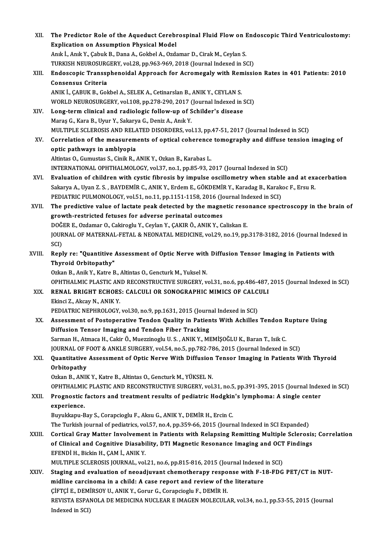| XII.   | The Predictor Role of the Aqueduct Cerebrospinal Fluid Flow on Endoscopic Third Ventriculostomy:       |
|--------|--------------------------------------------------------------------------------------------------------|
|        | <b>Explication on Assumption Physical Model</b>                                                        |
|        | Anık İ., Anık Y., Çabuk B., Dana A., Gokbel A., Ozdamar D., Cirak M., Ceylan S.                        |
|        | TURKISH NEUROSURGERY, vol.28, pp.963-969, 2018 (Journal Indexed in SCI)                                |
| XIII.  | Endoscopic Transsphenoidal Approach for Acromegaly with Remission Rates in 401 Patients: 2010          |
|        | <b>Consensus Criteria</b>                                                                              |
|        | ANIK I., ÇABUK B., Gokbel A., SELEK A., Cetinarslan B., ANIK Y., CEYLAN S.                             |
|        | WORLD NEUROSURGERY, vol.108, pp.278-290, 2017 (Journal Indexed in SCI)                                 |
| XIV.   | Long-term clinical and radiologic follow-up of Schilder's disease                                      |
|        | Maraş G., Kara B., Uyur Y., Sakarya G., Deniz A., Anık Y.                                              |
|        | MULTIPLE SCLEROSIS AND RELATED DISORDERS, vol.13, pp.47-51, 2017 (Journal Indexed in SCI)              |
| XV.    | Correlation of the measurements of optical coherence tomography and diffuse tension imaging of         |
|        | optic pathways in amblyopia                                                                            |
|        | Altintas O., Gumustas S., Cinik R., ANIK Y., Ozkan B., Karabas L.                                      |
|        | INTERNATIONAL OPHTHALMOLOGY, vol.37, no.1, pp.85-93, 2017 (Journal Indexed in SCI)                     |
| XVI.   | Evaluation of children with cystic fibrosis by impulse oscillometry when stable and at exacerbation    |
|        | Sakarya A., Uyan Z. S., BAYDEMİR C., ANIK Y., Erdem E., GÖKDEMİR Y., Karadag B., Karakoc F., Ersu R.   |
|        | PEDIATRIC PULMONOLOGY, vol.51, no.11, pp.1151-1158, 2016 (Journal Indexed in SCI)                      |
| XVII.  | The predictive value of lactate peak detected by the magnetic resonance spectroscopy in the brain of   |
|        | growth-restricted fetuses for adverse perinatal outcomes                                               |
|        | DOĞER E., Ozdamar O., Cakiroglu Y., Ceylan Y., ÇAKIR Ö., ANIK Y., Caliskan E.                          |
|        | JOURNAL OF MATERNAL-FETAL & NEONATAL MEDICINE, vol.29, no.19, pp.3178-3182, 2016 (Journal Indexed in   |
|        | SCI)                                                                                                   |
| XVIII. | Reply re: "Quantitive Assessment of Optic Nerve with Diffusion Tensor Imaging in Patients with         |
|        | Thyroid Orbitopathy"                                                                                   |
|        | Ozkan B., Anik Y., Katre B., Altintas O., Gencturk M., Yuksel N.                                       |
|        | OPHTHALMIC PLASTIC AND RECONSTRUCTIVE SURGERY, vol.31, no.6, pp.486-487, 2015 (Journal Indexed in SCI) |
| XIX.   | RENAL BRIGHT ECHOES: CALCULI OR SONOGRAPHIC MIMICS OF CALCULI                                          |
|        | Ekinci Z., Akcay N., ANIK Y.                                                                           |
|        | PEDIATRIC NEPHROLOGY, vol.30, no.9, pp.1631, 2015 (Journal Indexed in SCI)                             |
| XX.    | Assessment of Postoperative Tendon Quality in Patients With Achilles Tendon Rupture Using              |
|        | Diffusion Tensor Imaging and Tendon Fiber Tracking                                                     |
|        | Sarman H., Atmaca H., Cakir Ö., Muezzinoglu U. S., ANIK Y., MEMİŞOĞLU K., Baran T., Isik C.            |
|        | JOURNAL OF FOOT & ANKLE SURGERY, vol.54, no.5, pp.782-786, 2015 (Journal Indexed in SCI)               |
| XXI.   | Quantitative Assessment of Optic Nerve With Diffusion Tensor Imaging in Patients With Thyroid          |
|        | Orbitopathy                                                                                            |
|        | Ozkan B., ANIK Y., Katre B., Altintas O., Gencturk M., YÜKSEL N.                                       |
|        | OPHTHALMIC PLASTIC AND RECONSTRUCTIVE SURGERY, vol.31, no.5, pp.391-395, 2015 (Journal Indexed in SCI) |
| XXII.  | Prognostic factors and treatment results of pediatric Hodgkin's lymphoma: A single center              |
|        | experience.                                                                                            |
|        | Buyukkapu-Bay S., Corapcioglu F., Aksu G., ANIK Y., DEMİR H., Ercin C.                                 |
|        | The Turkish journal of pediatrics, vol.57, no.4, pp.359-66, 2015 (Journal Indexed in SCI Expanded)     |
| XXIII. | Cortical Gray Matter Involvement in Patients with Relapsing Remitting Multiple Sclerosis; Correlation  |
|        | of Clinical and Cognitive Diasability, DTI Magnetic Resonance Imaging and OCT Findings                 |
|        | EFENDİ H., Bickin H., ÇAM İ., ANIK Y.                                                                  |
|        | MULTIPLE SCLEROSIS JOURNAL, vol.21, no.6, pp.815-816, 2015 (Journal Indexed in SCI)                    |
| XXIV.  | Staging and evaluation of neoadjuvant chemotherapy response with F-18-FDG PET/CT in NUT-               |
|        | midline carcinoma in a child: A case report and review of the literature                               |
|        | ÇİFTÇİ E., DEMİRSOY U., ANIK Y., Gorur G., Corapcioglu F., DEMİR H.                                    |
|        | REVISTA ESPANOLA DE MEDICINA NUCLEAR E IMAGEN MOLECULAR, vol.34, no.1, pp.53-55, 2015 (Journal         |
|        | Indexed in SCI)                                                                                        |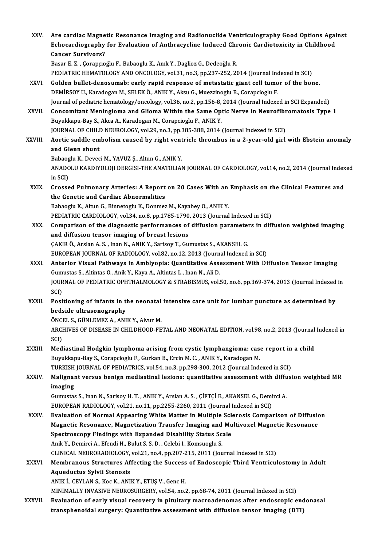| XXV.          | Are cardiac Magnetic Resonance Imaging and Radionuclide Ventriculography Good Options Against<br>Echocardiography for Evaluation of Anthracycline Induced Chronic Cardiotoxicity in Childhood<br><b>Cancer Survivors?</b> |
|---------------|---------------------------------------------------------------------------------------------------------------------------------------------------------------------------------------------------------------------------|
|               | Basar E. Z., Çorapçıoğlu F., Babaoglu K., Anık Y., Daglioz G., Dedeoğlu R.                                                                                                                                                |
| XXVI.         | PEDIATRIC HEMATOLOGY AND ONCOLOGY, vol.31, no.3, pp.237-252, 2014 (Journal Indexed in SCI)<br>Golden bullet-denosumab: early rapid response of metastatic giant cell tumor of the bone.                                   |
|               | DEMİRSOY U., Karadogan M., SELEK Ö., ANIK Y., Aksu G., Muezzinoglu B., Corapcioglu F.                                                                                                                                     |
|               | Journal of pediatric hematology/oncology, vol.36, no.2, pp.156-8, 2014 (Journal Indexed in SCI Expanded)                                                                                                                  |
| XXVII.        | Concomitant Meningioma and Glioma Within the Same Optic Nerve in Neurofibromatosis Type 1                                                                                                                                 |
|               | Buyukkapu-Bay S., Akca A., Karadogan M., Corapcioglu F., ANIK Y.<br>JOURNAL OF CHILD NEUROLOGY, vol.29, no.3, pp.385-388, 2014 (Journal Indexed in SCI)                                                                   |
| <b>XXVIII</b> | Aortic saddle embolism caused by right ventricle thrombus in a 2-year-old girl with Ebstein anomaly                                                                                                                       |
|               | and Glenn shunt                                                                                                                                                                                                           |
|               | Babaoglu K., Deveci M., YAVUZ Ş., Altun G., ANIK Y.                                                                                                                                                                       |
|               | ANADOLU KARDIYOLOJI DERGISI-THE ANATOLIAN JOURNAL OF CARDIOLOGY, vol.14, no.2, 2014 (Journal Indexed<br>in SCI)                                                                                                           |
| XXIX.         | Crossed Pulmonary Arteries: A Report on 20 Cases With an Emphasis on the Clinical Features and                                                                                                                            |
|               | the Genetic and Cardiac Abnormalities                                                                                                                                                                                     |
|               | Babaoglu K., Altun G., Binnetoglu K., Donmez M., Kayabey O., ANIK Y.                                                                                                                                                      |
| XXX.          | PEDIATRIC CARDIOLOGY, vol.34, no.8, pp.1785-1790, 2013 (Journal Indexed in SCI)                                                                                                                                           |
|               | Comparison of the diagnostic performances of diffusion parameters in diffusion weighted imaging<br>and diffusion tensor imaging of breast lesions                                                                         |
|               | ÇAKIR Ö., Arslan A. S., Inan N., ANIK Y., Sarisoy T., Gumustas S., AKANSEL G.                                                                                                                                             |
|               | EUROPEAN JOURNAL OF RADIOLOGY, vol.82, no.12, 2013 (Journal Indexed in SCI)                                                                                                                                               |
| XXXI.         | Anterior Visual Pathways in Amblyopia: Quantitative Assessment With Diffusion Tensor Imaging                                                                                                                              |
|               | Gumustas S., Altintas O., Anik Y., Kaya A., Altintas L., Inan N., Ali D.                                                                                                                                                  |
|               | JOURNAL OF PEDIATRIC OPHTHALMOLOGY & STRABISMUS, vol.50, no.6, pp.369-374, 2013 (Journal Indexed in<br>SCI)                                                                                                               |
| <b>XXXII</b>  | Positioning of infants in the neonatal intensive care unit for lumbar puncture as determined by                                                                                                                           |
|               | bedside ultrasonography                                                                                                                                                                                                   |
|               | ÖNCEL S., GÜNLEMEZ A., ANIK Y., Alvur M.                                                                                                                                                                                  |
|               | ARCHIVES OF DISEASE IN CHILDHOOD-FETAL AND NEONATAL EDITION, vol.98, no.2, 2013 (Journal Indexed in<br>SCI)                                                                                                               |
| XXXIII.       | Mediastinal Hodgkin lymphoma arising from cystic lymphangioma: case report in a child                                                                                                                                     |
|               | Buyukkapu-Bay S., Corapcioglu F., Gurkan B., Ercin M. C., ANIK Y., Karadogan M.                                                                                                                                           |
|               | TURKISH JOURNAL OF PEDIATRICS, vol.54, no.3, pp.298-300, 2012 (Journal Indexed in SCI)                                                                                                                                    |
| XXXIV.        | Malignant versus benign mediastinal lesions: quantitative assessment with diffusion weighted MR                                                                                                                           |
|               | imaging<br>Gumustas S., Inan N., Sarisoy H. T., ANIK Y., Arslan A. S., ÇİFTÇİ E., AKANSEL G., Demirci A.                                                                                                                  |
|               | EUROPEAN RADIOLOGY, vol.21, no.11, pp.2255-2260, 2011 (Journal Indexed in SCI)                                                                                                                                            |
| <b>XXXV</b>   | Evaluation of Normal Appearing White Matter in Multiple Sclerosis Comparison of Diffusion                                                                                                                                 |
|               | Magnetic Resonance, Magnetization Transfer Imaging and Multivoxel Magnetic Resonance                                                                                                                                      |
|               | Spectroscopy Findings with Expanded Disability Status Scale                                                                                                                                                               |
|               | Anik Y., Demirci A., Efendi H., Bulut S. S. D., Celebi I., Komsuoglu S.<br>CLINICAL NEURORADIOLOGY, vol.21, no.4, pp.207-215, 2011 (Journal Indexed in SCI)                                                               |
| XXXVI.        | Membranous Structures Affecting the Success of Endoscopic Third Ventriculostomy in Adult                                                                                                                                  |
|               | Aqueductus Sylvii Stenosis                                                                                                                                                                                                |
|               | ANIK I., CEYLAN S., Koc K., ANIK Y., ETUŞ V., Genc H.                                                                                                                                                                     |
|               | MINIMALLY INVASIVE NEUROSURGERY, vol.54, no.2, pp.68-74, 2011 (Journal Indexed in SCI)                                                                                                                                    |
| XXXVII.       | Evaluation of early visual recovery in pituitary macroadenomas after endoscopic endonasal                                                                                                                                 |
|               | transphenoidal surgery: Quantitative assessment with diffusion tensor imaging (DTI)                                                                                                                                       |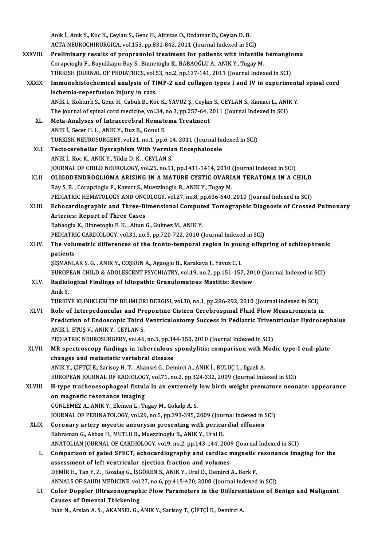|              | Anık İ., Anık Y., Koc K., Ceylan S., Genc H., Altintas O., Ozdamar D., Ceylan D. B.                                                      |
|--------------|------------------------------------------------------------------------------------------------------------------------------------------|
|              | ACTA NEUROCHIRURGICA, vol.153, pp.831-842, 2011 (Journal Indexed in SCI)                                                                 |
| XXXVIII -    | Preliminary results of propranolol treatment for patients with infantile hemangioma                                                      |
|              | Corapcioglu F., Buyukkapu-Bay S., Binnetoglu K., BABAOĞLU A., ANIK Y., Tugay M.                                                          |
|              | TURKISH JOURNAL OF PEDIATRICS, vol.53, no.2, pp.137-141, 2011 (Journal Indexed in SCI)                                                   |
| <b>XXXIX</b> | Immunohistochemical analysis of TIMP-2 and collagen types I and IV in experimental spinal cord                                           |
|              | ischemia-reperfusion injury in rats.                                                                                                     |
|              | ANIK I., Kokturk S., Genc H., Cabuk B., Koc K., YAVUZ Ş., Ceylan S., CEYLAN S., Kamaci L., ANIK Y.                                       |
|              | The journal of spinal cord medicine, vol.34, no.3, pp.257-64, 2011 (Journal Indexed in SCI)                                              |
| XL.          | Meta-Analyses of Intracerebral Hematoma Treatment                                                                                        |
|              | ANIK İ., Secer H. I., ANIK Y., Duz B., Gonul E.                                                                                          |
|              | TURKISH NEUROSURGERY, vol.21, no.1, pp.6-14, 2011 (Journal Indexed in SCI)                                                               |
| XLI.         | Tectocerebellar Dysraphism With Vermian Encephalocele                                                                                    |
|              | ANIK İ., Koc K., ANIK Y., Yildiz D. K., CEYLAN S.                                                                                        |
|              | JOURNAL OF CHILD NEUROLOGY, vol.25, no.11, pp.1411-1414, 2010 (Journal Indexed in SCI)                                                   |
| XLII.        | OLIGODENDROGLIOMA ARISING IN A MATURE CYSTIC OVARIAN TERATOMA IN A CHILD                                                                 |
|              | Bay S. B., Corapcioglu F., Kavurt S., Muezzinoglu B., ANIK Y., Tugay M.                                                                  |
|              | PEDIATRIC HEMATOLOGY AND ONCOLOGY, vol.27, no.8, pp.636-640, 2010 (Journal Indexed in SCI)                                               |
| XLIII.       | Echocardiographic and Three-Dimensional Computed Tomographic Diagnosis of Crossed Pulmonary                                              |
|              | <b>Arteries: Report of Three Cases</b>                                                                                                   |
|              | Babaoglu K., Binnetoglu F. K., Altun G., Gulmez M., ANIK Y.                                                                              |
|              | PEDIATRIC CARDIOLOGY, vol.31, no.5, pp.720-722, 2010 (Journal Indexed in SCI)                                                            |
| XLIV.        | The volumetric differences of the fronto-temporal region in young offspring of schizophrenic                                             |
|              | patients                                                                                                                                 |
|              | ŞİŞMANLAR Ş. G., ANIK Y., COŞKUN A., Agaoglu B., Karakaya I., Yavuz C. I.                                                                |
|              | EUROPEAN CHILD & ADOLESCENT PSYCHIATRY, vol.19, no.2, pp.151-157, 2010 (Journal Indexed in SCI)                                          |
| XLV.         | Radiological Findings of Idiopathic Granulomatous Mastitis: Review                                                                       |
|              | Anik Y.                                                                                                                                  |
|              | TURKIYE KLINIKLERI TIP BILIMLERI DERGISI, vol.30, no.1, pp.286-292, 2010 (Journal Indexed in SCI)                                        |
| XLVI.        | Role of Interpeduncular and Prepontine Cistern Cerebrospinal Fluid Flow Measurements in                                                  |
|              | Prediction of Endoscopic Third Ventriculostomy Success in Pediatric Triventricular Hydrocephalus<br>ANIK İ., ETUŞ V., ANIK Y., CEYLAN S. |
|              | PEDIATRIC NEUROSURGERY, vol.46, no.5, pp.344-350, 2010 (Journal Indexed in SCI)                                                          |
| XLVII.       | MR spectroscopy findings in tuberculous spondylitis; comparison with Modic type-I end-plate                                              |
|              | changes and metastatic vertebral disease                                                                                                 |
|              | ANIK Y., ÇİFTÇİ E., Sarisoy H. T. , Akansel G., Demirci A., ANIK İ., BULUÇ L., Ilgazli A.                                                |
|              | EUROPEAN JOURNAL OF RADIOLOGY, vol.71, no.2, pp.324-332, 2009 (Journal Indexed in SCI)                                                   |
| XLVIII.      | H-type tracheoesophageal fistula in an extremely low birth weight premature neonate: appearance                                          |
|              | on magnetic resonance imaging                                                                                                            |
|              | GÜNLEMEZ A., ANIK Y., Elemen L., Tugay M., Gokalp A. S.                                                                                  |
|              | JOURNAL OF PERINATOLOGY, vol.29, no.5, pp.393-395, 2009 (Journal Indexed in SCI)                                                         |
| XLIX.        | Coronary artery mycotic aneurysm presenting with pericardial effusion                                                                    |
|              | Kahraman G., Akbas H., MUTLU B., Muezzinoglu B., ANIK Y., Ural D.                                                                        |
|              | ANATOLIAN JOURNAL OF CARDIOLOGY, vol.9, no.2, pp.143-144, 2009 (Journal Indexed in SCI)                                                  |
| L.           | Comparison of gated SPECT, echocardiography and cardiac magnetic resonance imaging for the                                               |
|              | assessment of left ventricular ejection fraction and volumes                                                                             |
|              | DEMİR H., Tan Y. Z., Kozdag G., İŞGÖREN S., ANIK Y., Ural D., Demirci A., Berk F.                                                        |
|              | ANNALS OF SAUDI MEDICINE, vol.27, no.6, pp.415-420, 2008 (Journal Indexed in SCI)                                                        |
| LI.          | Color Doppler Ultrasonographic Flow Parameters in the Differentiation of Benign and Malignant                                            |
|              | <b>Causes of Omental Thickening</b>                                                                                                      |
|              | Inan N., Arslan A. S., AKANSEL G., ANIK Y., Sarisoy T., ÇİFTÇİ E., Demirci A.                                                            |
|              |                                                                                                                                          |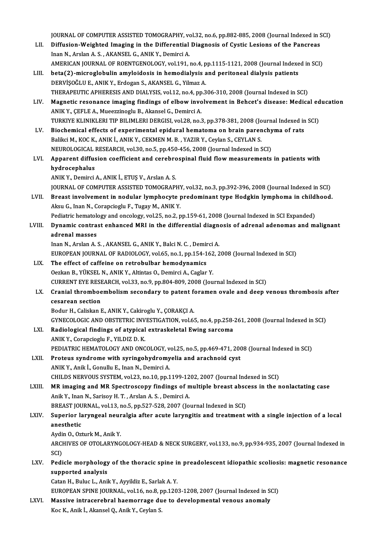JOURNAL OF COMPUTER ASSISTED TOMOGRAPHY, vol.32, no.6, pp.882-885, 2008 (Journal Indexed in SCI)<br>Diffusion Weighted Imaging in the Differential Diagnosis of Cystia Legions of the Pengress

- JOURNAL OF COMPUTER ASSISTED TOMOGRAPHY, vol.32, no.6, pp.882-885, 2008 (Journal Indexed in S<br>LII. Diffusion-Weighted Imaging in the Differential Diagnosis of Cystic Lesions of the Pancreas JOURNAL OF COMPUTER ASSISTED TOMOGRAPHY, vo<br>Diffusion-Weighted Imaging in the Differential<br>Inan N., Arslan A. S. , AKANSEL G., ANIK Y., Demirci A.<br>AMERICAN JOURNAL OF ROENTCENOLOCY, vol.191.1 LII. Diffusion-Weighted Imaging in the Differential Diagnosis of Cystic Lesions of the Pancreas<br>Inan N., Arslan A. S. , AKANSEL G., ANIK Y., Demirci A.<br>AMERICAN JOURNAL OF ROENTGENOLOGY, vol.191, no.4, pp.1115-1121, 2008 (
- LIII. beta(2)-microglobulin amyloidosis in hemodialysis and peritoneal dialysis patients DERVİŞOĞLU E., ANIK Y., Erdogan S., AKANSEL G., Yilmaz A. beta(2)-microglobulin amyloidosis in hemodialysis and peritoneal dialysis patients<br>DERVİŞOĞLU E., ANIK Y., Erdogan S., AKANSEL G., Yilmaz A.<br>THERAPEUTIC APHERESIS AND DIALYSIS, vol.12, no.4, pp.306-310, 2008 (Journal Index
- LIV. Magnetic resonance imaging findings of elbow involvement in Behcet's disease: Medical education<br>ANIK Y., CEFLE A., Mueezzinoglu B., Akansel G., Demirci A. THERAPEUTIC APHERESIS AND DIALYSIS, vol.12, no.4, pp<br>Magnetic resonance imaging findings of elbow invo<br>ANIK Y., ÇEFLE A., Mueezzinoglu B., Akansel G., Demirci A.<br>TURKIVE KLINIKLERLTIR RILIMI ERLDERCISL vol.29, no.3 Magnetic resonance imaging findings of elbow involvement in Behcet's disease: Medical ed<br>ANIK Y., ÇEFLE A., Mueezzinoglu B., Akansel G., Demirci A.<br>TURKIYE KLINIKLERI TIP BILIMLERI DERGISI, vol.28, no.3, pp.378-381, 2008 ( ANIK Y., ÇEFLE A., Mueezzinoglu B., Akansel G., Demirci A.<br>TURKIYE KLINIKLERI TIP BILIMLERI DERGISI, vol.28, no.3, pp.378-381, 2008 (Journal Indexed in<br>LV. Biochemical effects of experimental epidural hematoma on brain par
- TURKIYE KLINIKLERI TIP BILIMLERI DERGISI, vol.28, no.3, pp.378-381, 2008 (Jo<br>Biochemical effects of experimental epidural hematoma on brain paren<br>Balikci M., KOC K., ANIK İ., ANIK Y., CEKMEN M. B. , YAZIR Y., Ceylan S., CE Biochemical effects of experimental epidural hematoma on brain parenchyma of rats<br>Balikci M., KOC K., ANIK İ., ANIK Y., CEKMEN M. B. , YAZIR Y., Ceylan S., CEYLAN S.<br>NEUROLOGICAL RESEARCH, vol.30, no.5, pp.450-456, 2008 (J Balikci M., KOC K., ANIK İ., ANIK Y., CEKMEN M. B. , YAZIR Y., Ceylan S., CEYLAN S.<br>NEUROLOGICAL RESEARCH, vol.30, no.5, pp.450-456, 2008 (Journal Indexed in SCI)<br>LVI. Apparent diffusion coefficient and cerebrospinal fluid
- NEUROLOGICAL<br>Apparent diffus<br>hydrocephalus<br>ANIV Y Dominsi Apparent diffusion coefficient and cerebro<br>hydrocephalus<br>ANIK Y., Demirci A., ANIK İ., ETUŞ V., Arslan A. S.<br>JOUPNAL OE COMBUTED ASSISTED TOMOCRABI

hydrocephalus<br>ANIK Y., Demirci A., ANIK İ., ETUŞ V., Arslan A. S.<br>JOURNAL OF COMPUTER ASSISTED TOMOGRAPHY, vol.32, no.3, pp.392-396, 2008 (Journal Indexed in SCI)

- ANIK Y., Demirci A., ANIK İ., ETUŞ V., Arslan A. S.<br>JOURNAL OF COMPUTER ASSISTED TOMOGRAPHY, vol.32, no.3, pp.392-396, 2008 (Journal Indexed in SCI)<br>LVII. Breast involvement in nodular lymphocyte predominant type Hodgkin l JOURNAL OF COMPUTER ASSISTED TOMOGRAPHY<br>Breast involvement in nodular lymphocyte <sub>I</sub><br>Aksu G., Inan N., Corapcioglu F., Tugay M., ANIK Y.<br>Pediatric bematelegy and angelegy vel 25, no.2, n Breast involvement in nodular lymphocyte predominant type Hodgkin lymphoma in child<br>Aksu G., Inan N., Corapcioglu F., Tugay M., ANIK Y.<br>Pediatric hematology and oncology, vol.25, no.2, pp.159-61, 2008 (Journal Indexed in S Pediatric hematology and oncology, vol.25, no.2, pp.159-61, 2008 (Journal Indexed in SCI Expanded)
- Aksu G., Inan N., Corapcioglu F., Tugay M., ANIK Y.<br>Pediatric hematology and oncology, vol.25, no.2, pp.159-61, 2008 (Journal Indexed in SCI Expanded)<br>LVIII. Dynamic contrast enhanced MRI in the differential diagnosis of a Dynamic contrast enhanced MRI in the differential diagnent<br>adrenal masses<br>Inan N., Arslan A. S. , AKANSEL G., ANIK Y., Balci N. C. , Demirci A.<br>EUROPEAN JOURNAL OF PADJOLOCY .val 65, no 1 nn 154, 162, 2

adrenal masses<br>Inan N., Arslan A. S. , AKANSEL G., ANIK Y., Balci N. C. , Demirci A.<br>EUROPEAN JOURNAL OF RADIOLOGY, vol.65, no.1, pp.154-162, 2008 (Journal Indexed in SCI)<br>The effect of caffoine on retrobulber bemodynamics Inan N., Arslan A. S., AKANSEL G., ANIK Y., Balci N. C., Demin<br>EUROPEAN JOURNAL OF RADIOLOGY, vol.65, no.1, pp.154-1<br>LIX. The effect of caffeine on retrobulbar hemodynamics<br>Ogglap B. VilkSEL N. ANIK Y. Altintes O. Deminal

EUROPEAN JOURNAL OF RADIOLOGY, vol.65, no.1, pp.154-162<br>The effect of caffeine on retrobulbar hemodynamics<br>Oezkan B., YÜKSEL N., ANIK Y., Altintas O., Demirci A., Caglar Y.<br>CURRENT EVE RESEARCH .vol.33, no.9, np.904, 909, The effect of caffeine on retrobulbar hemodynamics<br>Oezkan B., YÜKSEL N., ANIK Y., Altintas O., Demirci A., Caglar Y.<br>CURRENT EYE RESEARCH, vol.33, no.9, pp.804-809, 2008 (Journal Indexed in SCI)<br>Cranial thromboembolism sec Oezkan B., YÜKSEL N., ANIK Y., Altintas O., Demirci A., Caglar Y.<br>CURRENT EYE RESEARCH, vol.33, no.9, pp.804-809, 2008 (Journal Indexed in SCI)<br>LX. Cranial thromboembolism secondary to patent foramen ovale and deep venous

## CURRENT EYE RESE<br>Cranial thromboe<br>cesarean section<br>Bodur H. Colislian L

Bodur H., Caliskan E., ANIK Y., Cakiroglu Y., ÇORAKÇI A.

GYNECOLOGICANDOBSTETRICINVESTIGATION,vol.65,no.4,pp.258-261,2008 (Journal Indexed inSCI)

- Bodur H., Caliskan E., ANIK Y., Cakiroglu Y., ÇORAKÇI A.<br>GYNECOLOGIC AND OBSTETRIC INVESTIGATION, vol.65, no.4, pp.258-<br>LXI. Radiological findings of atypical extraskeletal Ewing sarcoma GYNECOLOGIC AND OBSTETRIC INV<br>Radiological findings of atypical<br>ANIK Y., Corapcioglu F., YILDIZ D. K.<br>REDIATRIC HEMATOLOGY AND ONC Radiological findings of atypical extraskeletal Ewing sarcoma<br>ANIK Y., Corapcioglu F., YILDIZ D. K.<br>PEDIATRIC HEMATOLOGY AND ONCOLOGY, vol.25, no.5, pp.469-471, 2008 (Journal Indexed in SCI)<br>Protous syndroms with syningshy ANIK Y., Corapcioglu F., YILDIZ D. K.<br>PEDIATRIC HEMATOLOGY AND ONCOLOGY, vol.25, no.5, pp.469-471, 200<br>LXII. Proteus syndrome with syringohydromyelia and arachnoid cyst
- PEDIATRIC HEMATOLOGY AND ONCOLOGY, v<br>Proteus syndrome with syringohydromy<br>ANIK Y., Anik İ., Gonullu E., Inan N., Demirci A.<br>CHU DS NERVOUS SYSTEM, vol 22. Po 10. PP 1 Proteus syndrome with syringohydromyelia and arachnoid cyst<br>ANIK Y., Anik İ., Gonullu E., Inan N., Demirci A.<br>CHILDS NERVOUS SYSTEM, vol.23, no.10, pp.1199-1202, 2007 (Journal Indexed in SCI) ANIK Y., Anik İ., Gonullu E., Inan N., Demirci A.<br>CHILDS NERVOUS SYSTEM, vol.23, no.10, pp.1199-1202, 2007 (Journal Indexed in SCI)<br>LXIII. MR imaging and MR Spectroscopy findings of multiple breast abscess in the nonlactat
- CHILDS NERVOUS SYSTEM, vol.23, no.10, pp.1199-12<br>MR imaging and MR Spectroscopy findings of m<br>Anik Y., Inan N., Sarisoy H.T., Arslan A.S., Demirci A. MR imaging and MR Spectroscopy findings of multiple breast absc<br>Anik Y., Inan N., Sarisoy H. T. , Arslan A. S. , Demirci A.<br>BREAST JOURNAL, vol.13, no.5, pp.527-528, 2007 (Journal Indexed in SCI)<br>Superior Jarungeel pouralg Anik Y., Inan N., Sarisoy H. T. , Arslan A. S. , Demirci A.<br>BREAST JOURNAL, vol.13, no.5, pp.527-528, 2007 (Journal Indexed in SCI)<br>LXIV. Superior laryngeal neuralgia after acute laryngitis and treatment with a single inje

## BREAST JOU<br>Superior la<br>anesthetic<br>Audin O. Ox Superior laryngeal neur<br>anesthetic<br>Aydin O., Ozturk M., Anik Y.<br>ARCHIVES OE OTOL ARYNC

anesthetic<br>Aydin O., Ozturk M., Anik Y.<br>ARCHIVES OF OTOLARYNGOLOGY-HEAD & NECK SURGERY, vol.133, no.9, pp.934-935, 2007 (Journal Indexed in Aydi<br>ARCI<br>SCI)<br>Pedi ARCHIVES OF OTOLARYNGOLOGY-HEAD & NECK SURGERY, vol.133, no.9, pp.934-935, 2007 (Journal Indexed in<br>SCI)<br>LXV. Pedicle morphology of the thoracic spine in preadolescent idiopathic scoliosis: magnetic resonance<br>supported ana

## SCI)<br>Pedicle morphology<br>supported analysis<br>Cetan H. Bulue L. Anil supported analysis<br>Catan H., Buluc L., Anik Y., Ayyildiz E., Sarlak A. Y.

EUROPEAN SPINE JOURNAL, vol.16, no.8, pp.1203-1208, 2007 (Journal Indexed in SCI)

LXVI. Massive intracerebral haemorrage due to developmental venous anomaly Koc K., Anik İ., Akansel Q., Anik Y., Ceylan S.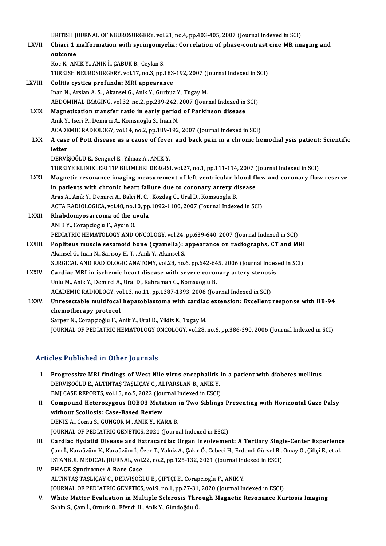|               | BRITISH JOURNAL OF NEUROSURGERY, vol.21, no.4, pp.403-405, 2007 (Journal Indexed in SCI)                |
|---------------|---------------------------------------------------------------------------------------------------------|
| LXVII.        | Chiari 1 malformation with syringomyelia: Correlation of phase-contrast cine MR imaging and             |
|               | outcome                                                                                                 |
|               | Koc K., ANIK Y., ANIK İ., ÇABUK B., Ceylan S.                                                           |
|               | TURKISH NEUROSURGERY, vol.17, no.3, pp.183-192, 2007 (Journal Indexed in SCI)                           |
| <b>LXVIII</b> | Colitis cystica profunda: MRI appearance                                                                |
|               | Inan N., Arslan A. S., Akansel G., Anik Y., Gurbuz Y., Tugay M.                                         |
|               | ABDOMINAL IMAGING, vol.32, no.2, pp.239-242, 2007 (Journal Indexed in SCI)                              |
| LXIX.         | Magnetization transfer ratio in early period of Parkinson disease                                       |
|               | Anik Y., Iseri P., Demirci A., Komsuoglu S., Inan N.                                                    |
|               | ACADEMIC RADIOLOGY, vol.14, no.2, pp.189-192, 2007 (Journal Indexed in SCI)                             |
| LXX.          | A case of Pott disease as a cause of fever and back pain in a chronic hemodial ysis patient: Scientific |
|               | letter                                                                                                  |
|               | DERVİŞOĞLU E., Senguel E., Yilmaz A., ANIK Y.                                                           |
|               | TURKIYE KLINIKLERI TIP BILIMLERI DERGISI, vol.27, no.1, pp.111-114, 2007 (Journal Indexed in SCI)       |
| LXXI.         | Magnetic resonance imaging measurement of left ventricular blood flow and coronary flow reserve         |
|               | in patients with chronic heart failure due to coronary artery disease                                   |
|               | Aras A., Anik Y., Demirci A., Balci N. C., Kozdag G., Ural D., Komsuoglu B.                             |
|               | ACTA RADIOLOGICA, vol.48, no.10, pp.1092-1100, 2007 (Journal Indexed in SCI)                            |
| LXXII.        | Rhabdomyosarcoma of the uvula                                                                           |
|               | ANIK Y., Corapcioglu F., Aydin O.                                                                       |
|               | PEDIATRIC HEMATOLOGY AND ONCOLOGY, vol.24, pp.639-640, 2007 (Journal Indexed in SCI)                    |
| LXXIII.       | Popliteus muscle sesamoid bone (cyamella): appearance on radiographs, CT and MRI                        |
|               | Akansel G., Inan N., Sarisoy H. T., Anik Y., Akansel S.                                                 |
|               | SURGICAL AND RADIOLOGIC ANATOMY, vol.28, no.6, pp.642-645, 2006 (Journal Indexed in SCI)                |
| <b>LXXIV</b>  | Cardiac MRI in ischemic heart disease with severe coronary artery stenosis                              |
|               | Unlu M., Anik Y., Demirci A., Ural D., Kahraman G., Komsuoglu B.                                        |
|               | ACADEMIC RADIOLOGY, vol.13, no.11, pp.1387-1393, 2006 (Journal Indexed in SCI)                          |
| <b>LXXV</b>   | Unresectable multifocal hepatoblastoma with cardiac extension: Excellent response with HB-94            |
|               | chemotherapy protocol                                                                                   |
|               | Sarper N., Corapçioğlu F., Anik Y., Ural D., Yildiz K., Tugay M.                                        |
|               | JOURNAL OF PEDIATRIC HEMATOLOGY ONCOLOGY, vol.28, no.6, pp.386-390, 2006 (Journal Indexed in SCI)       |
|               |                                                                                                         |

### Articles Published in Other Journals

- Thicles Published in Other Journals<br>I. Progressive MRI findings of West Nile virus encephalitis in a patient with diabetes mellitus<br>REPVISOČLU E. ALTINTAS TASLICAV C. ALPARSLAN R. ANIK V Progressive MRI findings of West Nile virus encephalitis<br>DERVİŞOĞLU E., ALTINTAŞ TAŞLIÇAY C., ALPARSLAN B., ANIK Y.<br>PMI CASE REPORTS, vol.15, no.5, 2022 (Journal Indoved in ESCI) Progressive MRI findings of West Nile virus encephalitis i<br>DERVİŞOĞLU E., ALTINTAŞ TAŞLIÇAY C., ALPARSLAN B., ANIK Y.<br>BMJ CASE REPORTS, vol.15, no.5, 2022 (Journal Indexed in ESCI)<br>Compound Heterogygous BOBO? Mutation in T DERVİŞOĞLU E., ALTINTAŞ TAŞLIÇAY C., ALPARSLAN B., ANIK Y.<br>BMJ CASE REPORTS, vol.15, no.5, 2022 (Journal Indexed in ESCI)<br>II. Compound Heterozygous ROBO3 Mutation in Two Siblings Presenting with Horizontal Gaze Palsy<br>witho
- BMJ CASE REPORTS, vol.15, no.5, 2022 (Journal Indexed in ESCI)<br>Compound Heterozygous ROBO3 Mutation in Two Sibling<br>without Scoliosis: Case-Based Review<br>DENİZ A., Comu S., GÜNGÖR M., ANIK Y., KARA B. Compound Heterozygous ROBO3 Mutation<br>without Scoliosis: Case-Based Review<br>DENİZ A., Comu S., GÜNGÖR M., ANIK Y., KARA B.<br>JOUPMAL OF PEDIATPIC CENETICS 2021 (Journ JOURNAL OF PEDIATRIC GENETICS, 2021 (Journal Indexed in ESCI) DENİZ A., Comu S., GÜNGÖR M., ANIK Y., KARA B.<br>JOURNAL OF PEDIATRIC GENETICS, 2021 (Journal Indexed in ESCI)<br>III. Cardiac Hydatid Disease and Extracardiac Organ Involvement: A Tertiary Single-Center Experience<br>Com L. Karoï
- JOURNAL OF PEDIATRIC GENETICS, 2021 (Journal Indexed in ESCI)<br>Cardiac Hydatid Disease and Extracardiac Organ Involvement: A Tertiary Single-Center Experienc<br>Çam İ., Karaüzüm K., Karaüzüm İ., Özer T., Yalniz A., Çakır Ö., C Cardiac Hydatid Disease and Extracardiac Organ Involvement: A Tertiary Singl<br>Çam İ., Karaüzüm K., Karaüzüm İ., Özer T., Yalniz A., Çakır Ö., Cebeci H., Erdemli Gürsel B.,<br>ISTANBUL MEDICAL JOURNAL, vol.22, no.2, pp.125-132, Çam İ., Karaüzüm K., Karaüzüm İ., Özer T., Yalniz A., Çakır Ö., Cebeci H., Erdemli Gürsel B., Omay O., Çiftçi E., et al.<br>ISTANBUL MEDICAL JOURNAL, vol.22, no.2, pp.125-132, 2021 (Journal Indexed in ESCI)<br>IV. PHACE Synd
- ALTINTAŞTAŞLIÇAYC.,DERVİŞOĞLUE.,ÇİFTÇİE.,Corapcioglu F.,ANIKY. JOURNAL OF PEDIATRIC GENETICS, vol.9, no.1, pp.27-31, 2020 (Journal Indexed in ESCI) ALTINTAȘ TAȘLIÇAY C., DERVIȘOĞLU E., ÇIFTÇI E., Corapcioglu F., ANIK Y.<br>JOURNAL OF PEDIATRIC GENETICS, vol.9, no.1, pp.27-31, 2020 (Journal Indexed in ESCI)<br>V. White Matter Evaluation in Multiple Sclerosis Through Magnetic
- JOURNAL OF PEDIATRIC GENETICS, vol.9, no.1, pp.27-31,<br>White Matter <mark>Evaluation in Multiple Sclerosis Thr</mark><br>Sahin S., Çam İ., Orturk O., Efendi H., Anik Y., Gündoğdu Ö.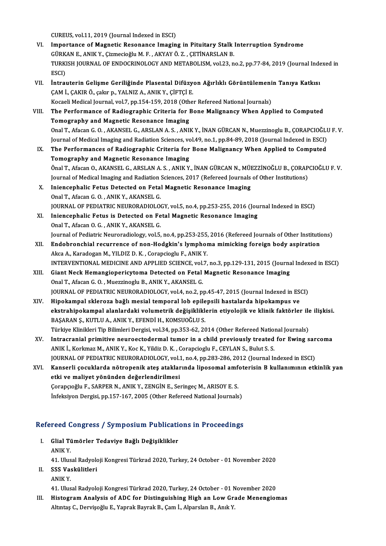CUREUS, vol.11, 2019 (Journal Indexed in ESCI)

- VI. Importance of Magnetic Resonance Imaging in Pituitary Stalk Interruption Syndrome CUREUS, vol.11, 2019 (Journal Indexed in ESCI)<br>Importance of Magnetic Resonance Imaging in Pituitary Stalk<br>GÜRKAN E., ANIK Y., Çizmecioğlu M. F. , AKYAY Ö. Z. , ÇETİNARSLAN B.<br>TURKISLAND OR ENDOCRINOLOCY AND METAROLISM YOL TURKISH JOURNAL OF ENDOCRINOLOGY AND METABOLISM, vol.23, no.2, pp.77-84, 2019 (Journal Indexed in ESCI) GÜRK<br>TURKI<br>ESCI)<br>İntral TURKISH JOURNAL OF ENDOCRINOLOGY AND METABOLISM, vol.23, no.2, pp.77-84, 2019 (Journal Inde ESCI)<br>ESCI)<br>VII. İntrauterin Gelişme Geriliğinde Plasental Difüzyon Ağırlıklı Görüntülemenin Tanıya Katkısı<br>CAM İ. CAKIB Ö. Sekır
- ÇAM İ., ÇAKIR Ö., çakır p., YALNIZ A., ANIK Y., ÇİFTÇİ E.<br>Kocaeli Medical Journal, vol.7, pp.154-159, 2018 (Other Refereed National Journals) İntrauterin Gelişme Geriliğinde Plasental Difüzyon Ağırlıklı Görüntülemeni<br>ÇAM İ., ÇAKIR Ö., çakır p., YALNIZ A., ANIK Y., ÇİFTÇİ E.<br>Kocaeli Medical Journal, vol.7, pp.154-159, 2018 (Other Refereed National Journals)<br>The B CAM İ., ÇAKIR Ö., çakır p., YALNIZ A., ANIK Y., ÇİFTÇİ E.<br>Kocaeli Medical Journal, vol.7, pp.154-159, 2018 (Other Refereed National Journals)<br>VIII. The Performance of Radiographic Criteria for Bone Malignancy When Appl
- Kocaeli Medical Journal, vol.7, pp.154-159, 2018 (Oth<br>The Performance of Radiographic Criteria for I<br>Tomography and Magnetic Resonance Imaging<br>Opal T. Afran C.O., AKANSEL C. ABSLAN A.S., ANU The Performance of Radiographic Criteria for Bone Malignancy When Applied to Computed<br>Tomography and Magnetic Resonance Imaging<br>Onal T., Afacan G. O. , AKANSEL G., ARSLAN A. S. , ANIK Y., İNAN GÜRCAN N., Muezzinoglu B., ÇO Tomography and Magnetic Resonance Imaging<br>Onal T., Afacan G. O. , AKANSEL G., ARSLAN A. S. , ANIK Y., İNAN GÜRCAN N., Muezzinoglu B., ÇORAPCIOĞLU F. V.<br>Journal of Medical Imaging and Radiation Sciences, vol.49, no.1, pp.84
- IX. The Performances of Radiographic Criteria for Bone Malignancy When Applied to Computed Tomography and Magnetic Resonance Imaging The Performances of Radiographic Criteria for Bone Malignancy When Applied to Computed<br>Tomography and Magnetic Resonance Imaging<br>Önal T., Afacan O., AKANSEL G., ARSLAN A. S. , ANIK Y., İNAN GÜRCAN N., MÜEZZİNOĞLU B., ÇORAP Tomography and Magnetic Resonance Imaging<br>Önal T., Afacan O., AKANSEL G., ARSLAN A. S. , ANIK Y., İNAN GÜRCAN N., MÜEZZİNOĞLU B., ÇORAP<br>Journal of Medical Imaging and Radiation Sciences, 2017 (Refereed Journals of Other In Önal T., Afacan O., AKANSEL G., ARSLAN A. S., ANIK Y., İNAN GÜRCAN N., MÜI<br>Journal of Medical Imaging and Radiation Sciences, 2017 (Refereed Journals<br>X. Iniencephalic Fetus Detected on Fetal Magnetic Resonance Imaging<br>Onel
- Journal of Medical Imaging and Radiation Sciences, 2017 (Refereed Journals of Other Institutions)<br>X. Iniencephalic Fetus Detected on Fetal Magnetic Resonance Imaging<br>Onal T., Afacan G. O., ANIK Y., AKANSEL G. Iniencephalic Fetus Detected on Fetal Magnetic Resonance Imaging<br>Onal T., Afacan G. O. , ANIK Y., AKANSEL G.<br>JOURNAL OF PEDIATRIC NEURORADIOLOGY, vol.5, no.4, pp.253-255, 2016 (Journal Indexed in ESCI)<br>Iniensephalis Estus
- XI. Iniencephalic Fetus is Detected on Fetal Magnetic Resonance Imaging Onal T., Afacan O. G., ANIK Y., AKANSEL G. JOURNAL OF PEDIATRIC NEURORADIOLO<br>Iniencephalic Fetus is Detected on Fe<br>Onal T., Afacan O. G. , ANIK Y., AKANSEL G.<br>Journal of Bediatric Nouroradiology vol 5 Journal of Pediatric Neuroradiology, vol.5, no.4, pp.253-255, 2016 (Refereed Journals of Other Institutions) Onal T., Afacan O. G. , ANIK Y., AKANSEL G.<br>Journal of Pediatric Neuroradiology, vol.5, no.4, pp.253-255, 2016 (Refereed Journals of Other Institution<br>XII. Endobronchial recurrence of non-Hodgkin's lymphoma mimicking forei
- Journal of Pediatric Neuroradiology, vol.5, no.4, pp.253-255,<br><mark>Endobronchial recurrence of non-Hodgkin's lymphor</mark><br>Akca A., Karadogan M., YILDIZ D. K. , Corapcioglu F., ANIK Y.<br>INTERVENTIONAL MEDICINE AND APPLIED SCIENCE vo Endobronchial recurrence of non-Hodgkin's lymphoma mimicking foreign body aspiration<br>Akca A., Karadogan M., YILDIZ D. K. , Corapcioglu F., ANIK Y.<br>INTERVENTIONAL MEDICINE AND APPLIED SCIENCE, vol.7, no.3, pp.129-131, 2015 Akca A., Karadogan M., YILDIZ D. K., Corapcioglu F., ANIK Y.<br>INTERVENTIONAL MEDICINE AND APPLIED SCIENCE, vol.7, no.3, pp.129-131, 2015 (Journa<br>XIII. Giant Neck Hemangiopericytoma Detected on Fetal Magnetic Resonance Imagi
- INTERVENTIONAL MEDICINE AND APPLIED SCIENCE, vol.<br>Giant Neck Hemangiopericytoma Detected on Fetal<br>Onal T., Afacan G. O. , Muezzinoglu B., ANIK Y., AKANSEL G.<br>JOUPNAL OF PEDIATRIC NEUPOPADIOLOCY, vol.4, no.3, n Giant Neck Hemangiopericytoma Detected on Fetal Magnetic Resonance Imaging<br>Onal T., Afacan G. O. , Muezzinoglu B., ANIK Y., AKANSEL G.<br>JOURNAL OF PEDIATRIC NEURORADIOLOGY, vol.4, no.2, pp.45-47, 2015 (Journal Indexed in ES Onal T., Afacan G. O. , Muezzinoglu B., ANIK Y., AKANSEL G.<br>JOURNAL OF PEDIATRIC NEURORADIOLOGY, vol.4, no.2, pp.45-47, 2015 (Journal Indexed in ESCN)<br>XIV. Hipokampal skleroza bağlı mesial temporal lob epilepsili hastalard
- ekstrahipokampal alanlardaki volumetrik değişikliklerin etiyolojik ve klinik faktörler ile ilişkisi. Hipokampal skleroza bağlı mesial temporal lob epile<br>ekstrahipokampal alanlardaki volumetrik değişiklikle<br>BAŞARAN Ş., KUTLU A., ANIK Y., EFENDİ H., KOMSUOĞLU S.<br>Türkiye Klinikleri Tin Bilimleri Dergisi vol 24 nn 252,62,20 ekstrahipokampal alanlardaki volumetrik değişikliklerin etiyolojik ve klinik faktörler ile<br>BAŞARAN Ş., KUTLU A., ANIK Y., EFENDİ H., KOMSUOĞLU S.<br>Türkiye Klinikleri Tip Bilimleri Dergisi, vol.34, pp.353-62, 2014 (Other Ref BAŞARAN Ş., KUTLU A., ANIK Y., EFENDİ H., KOMSUOĞLU S.<br>Türkiye Klinikleri Tip Bilimleri Dergisi, vol.34, pp.353-62, 2014 (Other Refereed National Journals)<br>XV. Intracranial primitive neuroectodermal tumor in a child previo
- Türkiye Klinikleri Tip Bilimleri Dergisi, vol.34, pp.353-62, 2014 (Other Refereed Nation<br>Intracranial primitive neuroectodermal tumor in a child previously treated<br>ANIK İ., Korkmaz M., ANIK Y., Koc K., Yildiz D. K. , Corap Intracranial primitive neuroectodermal tumor in a child previously treated for Ewing sar<br>ANIK İ., Korkmaz M., ANIK Y., Koc K., Yildiz D. K. , Corapcioglu F., CEYLAN S., Bulut S. S.<br>JOURNAL OF PEDIATRIC NEURORADIOLOGY, vol. JOURNAL OF PEDIATRIC NEURORADIOLOGY, vol.1, no.4, pp.283-286, 2012 (Journal Indexed in ESCI)
- ANIK İ., Korkmaz M., ANIK Y., Koc K., Yildiz D. K. , Corapcioglu F., CEYLAN S., Bulut S. S.<br>JOURNAL OF PEDIATRIC NEURORADIOLOGY, vol.1, no.4, pp.283-286, 2012 (Journal Indexed in ESCI)<br>XVI. Kanserli çocuklarda nötropen Kanserli çocuklarda nötropenik ateş ataklarında liposomal amf<br>etki ve maliyet yönünden değerlendirilmesi<br>Çorapçıoğlu F., SARPER N., ANIK Y., ZENGİN E., Seringeç M., ARISOY E. S.<br>İnfoksiyon Dergisi nn 157 167 2005 (Other Pe etki ve maliyet yönünden değerlendirilmesi<br>Çorapçıoğlu F., SARPER N., ANIK Y., ZENGİN E., Seringeç M., ARISOY E. S.<br>İnfeksiyon Dergisi, pp.157-167, 2005 (Other Refereed National Journals)

# meksiyon bergisi, pp.157-167, 2005 (Other Refereed National Journals)<br>Refereed Congress / Symposium Publications in Proceedings

efereed Congress / Symposium Publicati<br>I. Glial Tümörler Tedaviye Bağlı Değişiklikler<br>ANIK Y I. Glial Tümörler Tedaviye Bağlı Değişiklikler<br>ANIKY. Glial Tümörler Tedaviye Bağlı Değişiklikler<br>ANIK Y.<br>41. Ulusal Radyoloji Kongresi Türkrad 2020, Turkey, 24 October - 01 November 2020<br>SSS Veskülitleri

II. SSS Vaskülitleri<br>ANIK Y. 41. Ulus<br>SSS Va:<br>ANIK Y.

SSS Vaskülitleri<br>ANIK Y.<br>41. Ulusal Radyoloji Kongresi Türkrad 2020, Turkey, 24 October - 01 November 2020<br>Histogram Analysis of ADC for Distinguishing High on Low Crade Manargiar

III. Histogram Analysis of ADC for Distinguishing High an Low Grade Menengiomas<br>Altıntaş C., Dervişoğlu E., Yaprak Bayrak B., Çam İ., Alparslan B., Anık Y. 41. Ulusal Radyoloji Kongresi Türkrad 2020, Turkey, 24 October - 01 N<br>Hist<mark>ogram Analysis of ADC for Distinguishing High an Low Gr</mark>:<br>Altıntaş C., Dervişoğlu E., Yaprak Bayrak B., Çam İ., Alparslan B., Anık Y.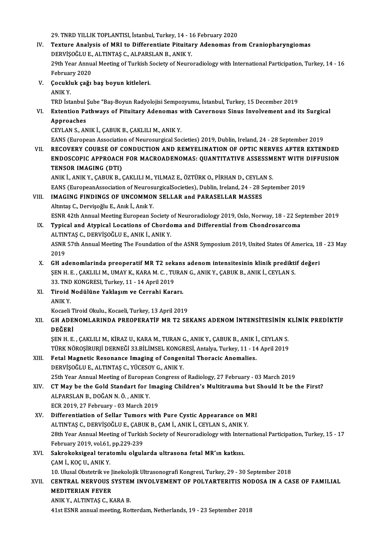29. TNRD YILLIK TOPLANTISI, İstanbul, Turkey, 14 - 16 February 2020

- 29. TNRD YILLIK TOPLANTISI, İstanbul, Turkey, 14 16 February 2020<br>IV. Texture Analysis of MRI to Differentiate Pituitary Adenomas from Craniopharyngiomas<br>REPVİSOČLU E. ALTINTAS G. ALBARSLAN B. ANIK Y 29. TNRD YILLIK TOPLANTISI, İstanbul, Turkey, 14 - 1<br>Texture Analysis of MRI to Differentiate Pituital<br>DERVİŞOĞLU E., ALTINTAŞ C., ALPARSLAN B., ANIK Y.<br>20th Year Annual Mesting of Turkish Sosisty of Nauro Texture Analysis of MRI to Differentiate Pituitary Adenomas from Craniopharyngiomas<br>DERVİŞOĞLU E., ALTINTAŞ C., ALPARSLAN B., ANIK Y.<br>29th Year Annual Meeting of Turkish Society of Neuroradiology with International Partici DERVIŞOĞLU E., ALTINTAŞ C., ALPARSLAN B., ANIK Y.<br>29th Year Annual Meeting of Turkish Society of Neuroradiology with International Participation, Turkey, 14 - 16 February 2020
- V. Çocukluk çağı baş boyun kitleleri.

TRDİstanbulŞube "Baş-BoyunRadyolojisiSempozyumu, İstanbul,Turkey,15December 2019

ANIK Y.<br>TRD İstanbul Şube "Baş-Boyun Radyolojisi Sempozyumu, İstanbul, Turkey, 15 December 2019<br>VI. Extention Pathways of Pituitary Adenomas with Cavernous Sinus Involvement and its Surgical<br>Annroaches TRD Istanbul<br>Extention Pa<br>Approaches<br>CEVIANS AN Extention Pathways of Pituitary Adenomas v<br>Approaches<br>CEYLAN S., ANIK İ., ÇABUK B., ÇAKLILI M., ANIK Y.<br>EANS (European Association of Neurosurgical Sec Approaches<br>CEYLAN S., ANIK İ., ÇABUK B., ÇAKLILI M., ANIK Y.<br>EANS (European Association of Neurosurgical Societies) 2019, Dublin, Ireland, 24 - 28 September 2019

VII. RECOVERY COURSE OF CONDUCTION AND REMYELINATION OF OPTIC NERVES AFTER EXTENDED EANS (European Association of Neurosurgical Societies) 2019, Dublin, Ireland, 24 - 28 September 2019<br>RECOVERY COURSE OF CONDUCTION AND REMYELINATION OF OPTIC NERVES AFTER EXTENDED<br>ENDOSCOPIC APPROACH FOR MACROADENOMAS: QUA RECOVERY COURSE OF C<br>ENDOSCOPIC APPROACH<br>TENSOR IMAGING (DTI)<br>ANIK LANIK Y CAPIIK P ( ENDOSCOPIC APPROACH FOR MACROADENOMAS: QUANTITATIVE ASSESSM<br>TENSOR IMAGING (DTI)<br>ANIK İ., ANIK Y., ÇABUK B., ÇAKLILI M., YILMAZ E., ÖZTÜRK O., PİRHAN D., CEYLAN S.<br>FANS (Eusangan Assesiation of Nourogyazise)Sosiation), Dub

TENSOR IMAGING (DTI)<br>ANIK İ., ANIK Y., ÇABUK B., ÇAKLILI M., YILMAZ E., ÖZTÜRK O., PİRHAN D., CEYLAN S.<br>EANS (EuropeanAssociation of NeurosurgicalSocieties), Dublin, Ireland, 24 - 28 September 2019<br>IMAGING EINDINGS OF INGO

## ANIK İ., ANIK Y., ÇABUK B., ÇAKLILI M., YILMAZ E., ÖZTÜRK O., PİRHAN D., CEYLAN S.<br>EANS (EuropeanAssociation of NeurosurgicalSocieties), Dublin, Ireland, 24 - 28 Septe<br>VIII. **IMAGING FINDINGS OF UNCOMMON SELLAR and PAR** EANS (EuropeanAssociation of Neurosi<br>IMAGING FINDINGS OF UNCOMMOI<br>Altıntaş C., Dervişoğlu E., Anık İ., Anık Y.<br>ESNP 42th Annual Meeting European S. IMAGING FINDINGS OF UNCOMMON SELLAR and PARASELLAR MASSES<br>Altıntaş C., Dervişoğlu E., Anık İ., Anık Y.<br>ESNR 42th Annual Meeting European Society of Neuroradiology 2019, Oslo, Norway, 18 - 22 September 2019<br>Tynisal and Atyn

- Altıntaş C., Dervişoğlu E., Anık İ., Anık Y.<br>ESNR 42th Annual Meeting European Society of Neuroradiology 2019, Oslo, Norway, 18 22 Se<sub>l</sub><br>IX. Typical and Atypical Locations of Chordoma and Differential from Chondrosarcoma ESNR 42th Annual Meeting European Society<br>Typical and Atypical Locations of Chord<br>ALTINTAŞ C., DERVİŞOĞLU E., ANIK İ., ANIK Y.<br>ASNP 57th Annual Meeting The Foundation of Typical and Atypical Locations of Chordoma and Differential from Chondrosarcoma<br>ALTINTAŞ C., DERVİŞOĞLU E., ANIK İ., ANIK Y.<br>ASNR 57th Annual Meeting The Foundation of the ASNR Symposium 2019, United States Of America, 18 ALTIN<br>ASNR<br>2019<br>CH 20
- ASNR 57th Annual Meeting The Foundation of the ASNR Symposium 2019, United States Of America, 18<br>2019<br>X. GH adenomiarinda preoperatif MR T2 sekans adenom intensitesinin klinik prediktif değeri<br>SEN H E CAVUUM UMAN K KARA M 2019<br>GH adenomlarinda preoperatif MR T2 sekans adenom intensitesinin klinik predikti<br>ŞEN H. E. , ÇAKLILI M., UMAY K., KARA M. C. , TURAN G., ANIK Y., ÇABUK B., ANIK İ., CEYLAN S.<br>22. TND KONGRESI, Turkay 11 - 14 Anril 2019 GH adenomlarinda preoperatif MR T2 sek<br>ŞEN H. E. , ÇAKLILI M., UMAY K., KARA M. C. , TU<br>33. TND KONGRESI, Turkey, 11 - 14 April 2019<br>Tiroid Nodülüne Yaklasım ve Cerrabi Kara 33. TND KONGRESI, Turkey, 11 - 14 April 2019
- XI. Tiroid Nodülüne Yaklaşım ve Cerrahi Kararı.<br>ANIK Y. Tiroid Nodülüne Yaklaşım ve Cerrahi Kararı.<br>ANIK Y.<br>Kocaeli Tiroid Okulu., Kocaeli, Turkey, 13 April 2019<br>CH ADENOMI ARINDA RREORERATİE MR T2 SE

XII. GH ADENOMLARINDA PREOPERATİF MR T2 SEKANS ADENOM İNTENSİTESİNİN KLİNİK PREDİKTİF<br>DEĞERİ Kocaeli T<br>GH ADE<br>DEĞERİ<br><sup>SEN H E</sup> GH ADENOMLARINDA PREOPERATİF MR T2 SEKANS ADENOM İNTENSİTESİNİN I<br>DEĞERİ<br>ŞEN H. E. , ÇAKLILI M., KİRAZ U., KARA M., TURAN G., ANIK Y., ÇABUK B., ANIK İ., CEYLAN S.<br>TÜRK NÖROSİRIRLİ DERNEĞİ 22 BILİMSEL KONGRESİ ARTAkta Turk

DEĞERİ<br>ŞEN H. E. , ÇAKLILI M., KİRAZ U., KARA M., TURAN G., ANIK Y., ÇABUK B., ANIK İ., CEYLAN S.<br>TÜRK NÖROŞİRURJİ DERNEĞİ 33.BİLİMSEL KONGRESİ, Antalya, Turkey, 11 - 14 April 2019<br>Fetal Magnetia Besananca İmaging of Congo ŞEN H. E. , ÇAKLILI M., KİRAZ U., KARA M., TURAN G., ANIK Y., ÇABUK B., ANIK İ<br>TÜRK NÖROŞİRURJİ DERNEĞİ 33.BİLİMSEL KONGRESİ, Antalya, Turkey, 11 - 14<br>XIII. Betal Magnetic Resonance Imaging of Congenital Thoracic Anomalies

## TÜRK NÖROŞİRURJİ DERNEĞİ 33.BİLİMSEL KONGR<br>Fetal Magnetic Resonance Imaging of Congen<br>DERVİŞOĞLU E., ALTINTAŞ C., YÜCESOY G., ANIK Y.<br>25th Year Annual Mesting of European Congress e DERVIŞOĞLU E., ALTINTAŞ C., YÜCESOY G., ANIK Y.<br>25th Year Annual Meeting of European Congress of Radiology, 27 February - 03 March 2019

## DERVİŞOĞLU E., ALTINTAŞ C., YÜCESOY G., ANIK Y.<br>25th Year Annual Meeting of European Congress of Radiology, 27 February - 03 March 2019<br>XIV. CT May be the Gold Standart for Imaging Children's Multitrauma but Should 25th Year Annual Meeting of Europea<br>**CT May be the Gold Standart for I**<br>ALPARSLAN B., DOĞAN N.Ö., ANIK Y. CT May be the Gold Standart for Ima<br>ALPARSLAN B., DOĞAN N.Ö., ANIK Y.<br>ECR 2019, 27 February - 03 March 2019<br>Differentiation of Sollar Tumors with

### ALPARSLAN B., DOĞAN N. Ö. , ANIK Y.<br>ECR 2019, 27 February - 03 March 2019<br>XV. Differentiation of Sellar Tumors with Pure Cystic Appearance on MRI ECR 2019, 27 February - 03 March 2019<br>Differentiation of Sellar Tumors with Pure Cystic Appearance on M<br>ALTINTAŞ C., DERVİŞOĞLU E., ÇABUK B., ÇAM İ., ANIK İ., CEYLAN S., ANIK Y.<br>29th Year Annual Meeting of Turkish Seciety 28th Year Annual Meeting of Turkish Society of Neuroradiology with International Participation, Turkey, 15 - 17 ALTINTAȘ C., DERVIȘOĞLU E., ÇABUK B., ÇAM İ., ANIK İ., CEYLAN S., ANIK Y. February 2019, vol 61, pp 229-239

XVI. Sakrokoksigeal teratomlu olgularda ultrasona fetal MR'ın katkısı.<br>CAM İ., KOÇ U., ANIK Y. Sakrokoksigeal teratomlu olgularda ultrasona fetal MR'ın katkısı.<br>ÇAM İ., KOÇ U., ANIK Y.<br>10. Ulusal Obstetrik ve Jinekolojik Ultrasonografi Kongresi, Turkey, 29 - 30 September 2018<br>CENTRAL NERVOUS SYSTEM INVOLUEMENT OE BO

### CAM İ., KOÇ U., ANIK Y.<br>10. Ulusal Obstetrik ve Jinekolojik Ultrasonografi Kongresi, Turkey, 29 - 30 September 2018<br>XVII. CENTRAL NERVOUS SYSTEM INVOLVEMENT OF POLYARTERITIS NODOSA IN A CASE OF FAMILIAL<br>MEDITERIAN EEVE 10. Ulusal Obstetrik ve J<br>CENTRAL NERVOUS S<br>MEDITERIAN FEVER **CENTRAL NERVOUS SYSTEM<br>MEDITERIAN FEVER<br>ANIK Y., ALTINTAŞ C., KARA B.<br>41st ESNP annual mestins, Pet** MEDITERIAN FEVER<br>ANIK Y., ALTINTAŞ C., KARA B.<br>41st ESNR annual meeting, Rotterdam, Netherlands, 19 - 23 September 2018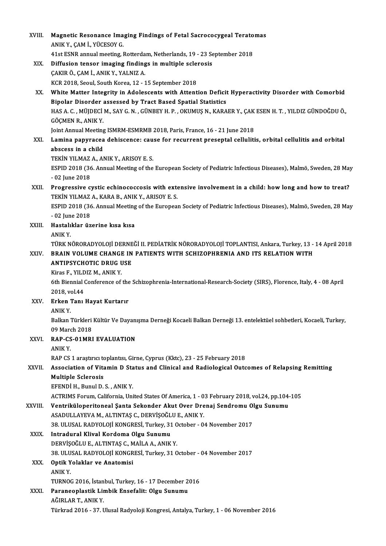| XVIII.  | Magnetic Resonance Imaging Findings of Fetal Sacrococygeal Teratomas                                                             |
|---------|----------------------------------------------------------------------------------------------------------------------------------|
|         | ANIK Y., ÇAM İ., YÜCESOY G.                                                                                                      |
|         | 41st ESNR annual meeting, Rotterdam, Netherlands, 19 - 23 September 2018                                                         |
| XIX.    | Diffusion tensor imaging findings in multiple sclerosis                                                                          |
|         | ÇAKIR Ö., ÇAM İ., ANIK Y., YALNIZ A.                                                                                             |
|         | KCR 2018, Seoul, South Korea, 12 - 15 September 2018                                                                             |
| XX.     | White Matter Integrity in Adolescents with Attention Deficit Hyperactivity Disorder with Comorbid                                |
|         | Bipolar Disorder assessed by Tract Based Spatial Statistics                                                                      |
|         | HAS A. C. , MÜJDECİ M., SAY G. N. , GÜNBEY H. P. , OKUMUŞ N., KARAER Y., ÇAK ESEN H. T. , YILDIZ GÜNDOĞDU Ö.,                    |
|         | GÖÇMEN R., ANIK Y.                                                                                                               |
|         | Joint Annual Meeting ISMRM-ESMRMB 2018, Paris, France, 16 - 21 June 2018                                                         |
| XXI.    | Lamina papyracea dehiscence: cause for recurrent preseptal cellulitis, orbital cellulitis and orbital                            |
|         | abscess in a child                                                                                                               |
|         | TEKIN YILMAZ A., ANIK Y., ARISOY E. S.                                                                                           |
|         | ESPID 2018 (36. Annual Meeting of the European Society of Pediatric Infectious Diseases), Malmö, Sweden, 28 May                  |
|         | $-02$ June 2018                                                                                                                  |
| XXII.   | Progressive cystic echinococcosis with extensive involvement in a child: how long and how to treat?                              |
|         | TEKİN YILMAZ A., KARA B., ANIK Y., ARISOY E. S.                                                                                  |
|         | ESPID 2018 (36. Annual Meeting of the European Society of Pediatric Infectious Diseases), Malmö, Sweden, 28 May                  |
|         | $-02$ June 2018                                                                                                                  |
| XXIII.  | Hastalıklar üzerine kısa kısa<br>ANIK Y.                                                                                         |
|         | TÜRK NÖRORADYOLOJİ DERNEĞİ II. PEDİATRİK NÖRORADYOLOJİ TOPLANTISI, Ankara, Turkey, 13 - 14 April 2018                            |
| XXIV.   | BRAIN VOLUME CHANGE IN PATIENTS WITH SCHIZOPHRENIA AND ITS RELATION WITH                                                         |
|         | <b>ANTIPSYCHOTIC DRUG USE</b>                                                                                                    |
|         | Kiras F., YILDIZ M., ANIK Y.                                                                                                     |
|         | 6th Biennial Conference of the Schizophrenia-International-Research-Society (SIRS), Florence, Italy, 4 - 08 April                |
|         | 2018, vol 44                                                                                                                     |
| XXV.    | Erken Tanı Hayat Kurtarır                                                                                                        |
|         | ANIK Y.                                                                                                                          |
|         | Balkan Türkleri Kültür Ve Dayanışma Derneği Kocaeli Balkan Derneği 13. entelektüel sohbetleri, Kocaeli, Turkey,                  |
|         | 09 March 2018                                                                                                                    |
| XXVI.   | RAP-CS-01MRI EVALUATION                                                                                                          |
|         | ANIK Y.                                                                                                                          |
|         | RAP CS 1 araştırıcı toplantısı, Girne, Cyprus (Kktc), 23 - 25 February 2018                                                      |
| XXVII.  | Association of Vitamin D Status and Clinical and Radiological Outcomes of Relapsing Remitting                                    |
|         | <b>Multiple Sclerosis</b>                                                                                                        |
|         | EFENDİ H., Bunul D. S., ANIK Y.<br>ACTRIMS Forum, California, United States Of America, 1 - 03 February 2018, vol.24, pp.104-105 |
| XXVIII. | Ventriküloperitoneal Şanta Sekonder Akut Over Drenaj Sendromu Olgu Sunumu                                                        |
|         | ASADULLAYEVA M., ALTINTAȘ C., DERVIȘOĞLU E., ANIK Y.                                                                             |
|         | 38. ULUSAL RADYOLOJİ KONGRESİ, Turkey, 31 October - 04 November 2017                                                             |
| XXIX.   | Intradural Klival Kordoma Olgu Sunumu                                                                                            |
|         | DERVIȘOĞLU E., ALTINTAȘ C., MAİLA A., ANIK Y.                                                                                    |
|         | 38. ULUSAL RADYOLOJİ KONGRESİ, Turkey, 31 October - 04 November 2017                                                             |
| XXX.    | Optik Yolaklar ve Anatomisi                                                                                                      |
|         | <b>ANIKY</b>                                                                                                                     |
|         | TURNOG 2016, İstanbul, Turkey, 16 - 17 December 2016                                                                             |
| XXXI.   | Paraneoplastik Limbik Ensefalit: Olgu Sunumu                                                                                     |
|         | AĞIRLAR T, ANIK Y                                                                                                                |
|         | Türkrad 2016 - 37. Ulusal Radyoloji Kongresi, Antalya, Turkey, 1 - 06 November 2016                                              |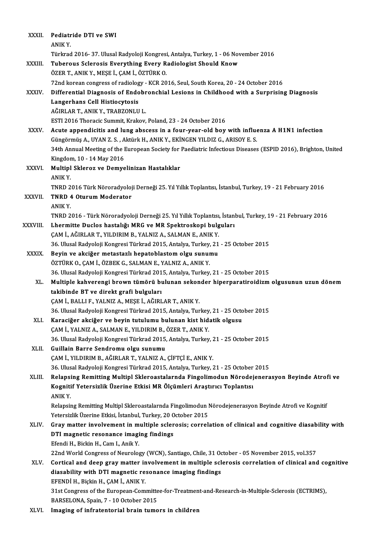| XXXII.       | Pediatride DTI ve SWI                                                                                         |
|--------------|---------------------------------------------------------------------------------------------------------------|
|              | ANIKY.                                                                                                        |
|              | Türkrad 2016-37. Ulusal Radyoloji Kongresi, Antalya, Turkey, 1 - 06 November 2016                             |
| XXXIII.      | Tuberous Sclerosis Everything Every Radiologist Should Know                                                   |
|              | ÖZER T., ANIK Y., MEŞE İ., ÇAM İ., ÖZTÜRK O.                                                                  |
|              | 72nd korean congress of radiology - KCR 2016, Seul, South Korea, 20 - 24 October 2016                         |
| <b>XXXIV</b> | Differential Diagnosis of Endobronchial Lesions in Childhood with a Surprising Diagnosis                      |
|              | Langerhans Cell Histiocytosis                                                                                 |
|              | AĞIRLAR T., ANIK Y., TRABZONLU L.                                                                             |
|              | ESTI 2016 Thoracic Summit, Krakov, Poland, 23 - 24 October 2016                                               |
| XXXV.        | Acute appendicitis and lung abscess in a four-year-old boy with influenza A H1N1 infection                    |
|              | Güngörmüş A., UYAN Z. S., Aktürk H., ANIK Y., EKİNGEN YILDIZ G., ARISOY E. S.                                 |
|              | 34th Annual Meeting of the European Society for Paediatric Infectious Diseases (ESPID 2016), Brighton, United |
|              | Kingdom, 10 - 14 May 2016                                                                                     |
| <b>XXXVI</b> | Multipl Skleroz ve Demyelinizan Hastalıklar                                                                   |
|              | <b>ANIKY</b>                                                                                                  |
|              | TNRD 2016 Türk Nöroradyoloji Derneği 25. Yıl Yıllık Toplantısı, İstanbul, Turkey, 19 - 21 February 2016       |
| XXXVII.      | <b>TNRD 4 Oturum Moderator</b>                                                                                |
|              | ANIK Y.                                                                                                       |
|              | TNRD 2016 - Türk Nöroradyoloji Derneği 25. Yıl Yıllık Toplantısı, İstanbul, Turkey, 19 - 21 February 2016     |
| XXXVIII.     | Lhermitte Duclos hastalığı MRG ve MR Spektroskopi bulguları                                                   |
|              | ÇAM İ., AĞIRLAR T., YILDIRIM B., YALNIZ A., SALMAN E., ANIK Y.                                                |
|              | 36. Ulusal Radyoloji Kongresi Türkrad 2015, Antalya, Turkey, 21 - 25 October 2015                             |
| <b>XXXIX</b> | Beyin ve akciğer metastazlı hepatoblastom olgu sunumu                                                         |
|              | ÖZTÜRK O., ÇAM İ., ÖZBEK G., SALMAN E., YALNIZ A., ANIK Y.                                                    |
|              | 36. Ulusal Radyoloji Kongresi Türkrad 2015, Antalya, Turkey, 21 - 25 October 2015                             |
| XL.          | Multiple kahverengi brown tümörü bulunan sekonder hiperparatiroidizm olgusunun uzun dönem                     |
|              | takibinde BT ve direkt grafi bulguları                                                                        |
|              | CAM İ., BALLI F., YALNIZ A., MEŞE İ., AĞIRLAR T., ANIK Y.                                                     |
|              | 36. Ulusal Radyoloji Kongresi Türkrad 2015, Antalya, Turkey, 21 - 25 October 2015                             |
| XLI.         | Karaciğer akciğer ve beyin tutulumu bulunan kist hidatik olgusu                                               |
|              | ÇAM İ., YALNIZ A., SALMAN E., YILDIRIM B., ÖZER T., ANIK Y.                                                   |
|              | 36. Ulusal Radyoloji Kongresi Türkrad 2015, Antalya, Turkey, 21 - 25 October 2015                             |
| XLII.        | Guillain Barre Sendromu olgu sunumu                                                                           |
|              | ÇAM İ., YILDIRIM B., AĞIRLAR T., YALNIZ A., ÇİFTÇİ E., ANIK Y.                                                |
|              | 36. Ulusal Radyoloji Kongresi Türkrad 2015, Antalya, Turkey, 21 - 25 October 2015                             |
| XLIII.       | Relapsing Remitting Multipl Skleroastalarnda Fingolimodun Nörodejenerasyon Beyinde Atrofi ve                  |
|              | Kognitif Yetersizlik Üzerine Etkisi MR Ölçümleri Araştırıcı Toplantısı                                        |
|              | ANIK Y.                                                                                                       |
|              | Relapsing Remitting Multipl Skleroastalarnda Fingolimodun Nörodejenerasyon Beyinde Atrofi ve Kognitif         |
|              | Yetersizlik Üzerine Etkisi, İstanbul, Turkey, 20 October 2015                                                 |
| XLIV.        | Gray matter involvement in multiple sclerosis; correlation of clinical and cognitive diasability with         |
|              | DTI magnetic resonance imaging findings                                                                       |
|              | Efendi H., Bickin H., Cam I., Anik Y.                                                                         |
|              | 22nd World Congress of Neurology (WCN), Santiago, Chile, 31 October - 05 November 2015, vol.357               |
| XLV.         | Cortical and deep gray matter involvement in multiple sclerosis correlation of clinical and cognitive         |
|              | diasability with DTI magnetic resonance imaging findings                                                      |
|              | EFENDİ H., Biçkin H., ÇAM İ., ANIK Y.                                                                         |
|              | 31st Congress of the European-Committee-for-Treatment-and-Research-in-Multiple-Sclerosis (ECTRIMS),           |
|              | BARSELONA, Spain, 7 - 10 October 2015                                                                         |
| XLVI.        | Imaging of infratentorial brain tumors in children                                                            |
|              |                                                                                                               |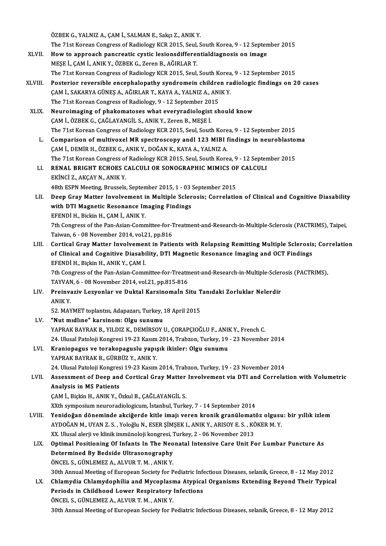ÖZBEK G., YALNIZ A., ÇAM İ., SALMAN E., Sakçı Z., ANIK Y.

- ÖZBEK G., YALNIZ A., ÇAM İ., SALMAN E., Sakçı Z., ANIK Y.<br>The 71st Korean Congress of Radiology KCR 2015, Seul, South Korea, 9 12 September 2015<br>How to annyogsk nangyeatis systia lesionadifferentialdiasnesis en image
- ÖZBEK G., YALNIZ A., ÇAM İ., SALMAN E., Sakçı Z., ANIK Y.<br>The 71st Korean Congress of Radiology KCR 2015, Seul, South Korea, 9 12 Septen<br>XLVII. How to approach pancreatic cystic lesionsdifferentialdiagnosis on image<br>MESE The 71st Korean Congress of Radiology KCR 2015, Seul,<br>How to approach pancreatic cystic lesionsdifferen<br>MEŞE İ., ÇAM İ., ANIK Y., ÖZBEK G., Zeren B., AĞIRLAR T.<br>The 71st Kersen Congress of Badiology KCB 2015, Seul. How to approach pancreatic cystic lesionsdifferentialdiagnosis on image<br>MESE İ., ÇAM İ., ANIK Y., ÖZBEK G., Zeren B., AĞIRLAR T.<br>The 71st Korean Congress of Radiology KCR 2015, Seul, South Korea, 9 - 12 September 2015
- XLVIII. Posterior reversible encephalopathy syndromein children radiologic findings on 20 cases The 71st Korean Congress of Radiology KCR 2015, Seul, South Korea<br>Posterior reversible encephalopathy syndromein children ra<br>ÇAM İ., SAKARYA GÜNEŞ A., AĞIRLAR T., KAYA A., YALNIZ A., ANIK Y.<br>The 71st Kerean Congress of Bad Posterior reversible encephalopathy syndromein childre<br>ÇAM İ., SAKARYA GÜNEŞ A., AĞIRLAR T., KAYA A., YALNIZ A., ANI<br>The 71st Korean Congress of Radiology, 9 - 12 September 2015<br>Nauraimaging of phakamatoses what everyradio The 71st Korean Congress of Radiology, 9 - 12 September 2015<br>XLIX. Neuroimaging of phakomatoses what everyradiologist should know
	- ÇAMİ.,ÖZBEKG.,ÇAĞLAYANGİL S.,ANIKY.,ZerenB.,MEŞEİ. The 71st Korean Congress of Radiology KCR 2015, Seul, South Korea, 9 - 12 September 2015
		- L. Comparison of multivoxel MR spectroscopy andI 123 MIBI findings in neuroblastoma ÇAMİ.,DEMİRH.,ÖZBEKG.,ANIKY.,DOĞANK.,KAYAA.,YALNIZA. Comparison of multivoxel MR spectroscopy andI 123 MIBI findings in neuroblasto:<br>ÇAM İ., DEMİR H., ÖZBEK G., ANIK Y., DOĞAN K., KAYA A., YALNIZ A.<br>The 71st Korean Congress of Radiology KCR 2015, Seul, South Korea, 9 - 12 Se CAM İ., DEMİR H., ÖZBEK G., ANIK Y., DOĞAN K., KAYA A., YALNIZ A.<br>The 71st Korean Congress of Radiology KCR 2015, Seul, South Korea, 9 - 12 Septer<br>LI. RENAL BRIGHT ECHOES CALCULI OR SONOGRAPHIC MIMICS OF CALCULI
		- The 71st Korean Congress of<br>RENAL BRIGHT ECHOES C<br>EKİNCİ Z., AKÇAY N., ANIK Y.<br>49th ESDN Mosting Prussels LI. RENAL BRIGHT ECHOES CALCULI OR SONOGRAPHIC MIMICS OF CALCULI<br>EKINCI Z., AKÇAY N., ANIK Y.<br>48th ESPN Meeting, Brussels, September 2015, 1 - 03 September 2015
	- LII. Deep Gray Matter Involvement in Multiple Sclerosis; Correlation of Clinical and Cognitive Diasability 48th ESPN Meeting, Brussels, September 2015, 1 - 03<br>Deep Gray Matter Involvement in Multiple Scler<br>with DTI Magnetic Resonance Imaging Findings<br>EFFNDI H. Bickin H. GAM LANIY V Deep Gray Matter Involvement i<br>with DTI Magnetic Resonance In<br>EFENDİ H., Bickin H., ÇAM İ., ANIK Y.<br><sup>7th Congress of the Pan Asian Comn</sup> with DTI Magnetic Resonance Imaging Findings<br>EFENDİ H., Bickin H., ÇAM İ., ANIK Y.<br>7th Congress of the Pan-Asian-Committee-for-Treatment-and-Research-in-Multiple-Sclerosis (PACTRIMS), Taipei,<br>Taivran 6, .08 November 2014, EFENDİ H., Bickin H., ÇAM İ., ANIK Y.<br>7th Congress of the Pan-Asian-Committee-for-1<br>Taiwan, 6 - 08 November 2014, vol.21, pp.816<br>Cortical Cray Matter Involvement in Patie
	- Th Congress of the Pan-Asian-Committee-for-Treatment-and-Research-in-Multiple-Sclerosis (PACTRIMS), Taipei,<br>Taiwan, 6 08 November 2014, vol.21, pp.816<br>LIII. Cortical Gray Matter Involvement in Patients with Relapsing Rem Taiwan, 6 - 08 November 2014, vol.21, pp.816<br>Cortical Gray Matter Involvement in Patients with Relapsing Remitting Multiple Sclerosis<br>of Clinical and Cognitive Diasability, DTI Magnetic Resonance Imaging and OCT Findings<br>E Cortical Gray Matter Involvemer<br>of Clinical and Cognitive Diasabi<br>EFENDİ H., Biçkin H., ANIK Y., ÇAM İ.<br><sup>7th Congrees of the Ban Asian Comn</sup> of Clinical and Cognitive Diasability, DTI Magnetic Resonance Imaging and OCT Findings<br>EFENDI H., Biçkin H., ANIK Y., ÇAM İ.

7th Congress of the Pan-Asian-Committee-for-Treatment-and-Research-in-Multiple-Sclerosis (PACTRIMS), 7th Congress of the Pan-Asian-Committee-for-Treatment-and-Research-in-Multiple-Scler<br>TAYVAN, 6 - 08 November 2014, vol.21, pp.815-816<br>LIV. Preinvaziv Lezyonlar ve Duktal Karsinomaİn Situ Tanıdaki Zorluklar Nelerdir

TAYVAN, 6 - 08 November 2014, vol.21, pp.815-816<br>Preinvaziv Lezyonlar ve Duktal Karsinomain Situ 1<br>ANIK Y.<br>52. MAYMET toplantısı, Adapazarı, Turkey, 18 April 2015 Preinvaziv Lezyonlar ve Duktal Karsinomaİn Situ T<br>ANIK Y.<br>52. MAYMET toplantısı, Adapazarı, Turkey, 18 April 2015<br>"Nut mıdlıne" karsinom: Olsu sunumu

### LV. "Nutmıdlıne" karsinom: Olgu sunumu

YAPRAK BAYRAK B., YILDIZ K., DEMİRSOY U., ÇORAPÇIOĞLU F., ANIK Y., French C. "Nut mıdlıne" karsinom: Olgu sunumu<br>YAPRAK BAYRAK B., YILDIZ K., DEMİRSOY U., ÇORAPÇIOĞLU F., ANIK Y., French C.<br>24. Ulusal Patoloji Kongresi 19-23 Kasım 2014, Trabzon, Turkey, 19 - 23 November 2014<br>Krapionegye ve terekone

### YAPRAK BAYRAK B., YILDIZ K., DEMİRSOY U., ÇORAPÇIOĞLU F., ANII<br>24. Ulusal Patoloji Kongresi 19-23 Kasım 2014, Trabzon, Turkey, 19<br>LVI. Kraniopagus ve torakopaguslu yapışık ikizler: Olgu sunumu<br>XAPPAK BAYPAK B. CÜPPÜZ V. AN 24. Ulusal Patoloji Kongresi 19-23 Kasım<br>**Kraniopagus ve torakopaguslu yapı**ş<br>YAPRAK BAYRAK B., GÜRBÜZ Y., ANIK Y.<br>24. Ulusal Patoloji Kongresi 19.22 Kasım 24. Kraniopagus ve torakopaguslu yapışık ikizler: Olgu sunumu<br>24. YAPRAK BAYRAK B., GÜRBÜZ Y., ANIK Y.<br>24. Ulusal Patoloji Kongresi 19-23 Kasım 2014, Trabzon, Turkey, 19 - 23 November 2014

LVII. Assessment of Deep and Cortical Gray Matter Involvement via DTI and Correlation with Volumetric Analysis in MS Patients

ÇAM İ., Biçkin H., ANIK Y., Özkul B., ÇAĞLAYANGİL S.

XXth symposium neuroradiologicum, İstanbul, Turkey, 7 - 14 September 2014

- CAM İ., Biçkin H., ANIK Y., Özkul B., ÇAĞLAYANGİL S.<br>XXth symposium neuroradiologicum, İstanbul, Turkey, 7 14 September 2014<br>LVIII. Yenidoğan döneminde akciğerde kitle imajı veren kronik granülomatöz olgusu: bir yıll XXth symposium neuroradiologicum, İstanbul, Turkey, 7 - 14 September 2014<br>Yenidoğan döneminde akciğerde kitle imajı veren kronik granülomatöz olgusu<br>AYDOĞAN M., UYAN Z. S. , Yoloğlu N., ESER ŞİMŞEK I., ANIK Y., ARISOY E. S Yenidoğan döneminde akciğerde kitle imajı veren kronik granülomat<br>AYDOĞAN M., UYAN Z. S. , Yoloğlu N., ESER ŞİMŞEK I., ANIK Y., ARISOY E. S. , KÖ<br>XX. Ulusal alerji ve klinik immünoloji kongresi, Turkey, 2 - 06 November 201 AYDOĞAN M., UYAN Z. S. , Yoloğlu N., ESER ŞİMŞEK I., ANIK Y., ARISOY E. S. , KÖKER M. Y.<br>XX. Ulusal alerji ve klinik immünoloji kongresi, Turkey, 2 - 06 November 2013<br>LIX. Optimal Positioning Of Infants In The Neonatal
- XX. Ulusal alerji ve klinik immünoloji kongresi, Turkey, 2 06 November 2013<br>Optimal Positioning Of Infants In The Neonatal Intensive Care Unit F<br>Determined By Bedside Ultrasonography<br>ÖNCEL S., GÜNLEMEZ A., ALVUR T. M., A Optimal Positioning Of Infants In The Neo<br>Determined By Bedside Ultrasonography<br>ÖNCEL S., GÜNLEMEZ A., ALVUR T. M. , ANIK Y.<br>20th Annual Meeting of European Society for B 30th Annual Meeting of European Society for Pediatric Infectious Diseases, selanik, Greece, 8 - 12 May 2012 ÖNCEL S., GÜNLEMEZ A., ALVUR T. M. , ANIK Y.<br>30th Annual Meeting of European Society for Pediatric Infectious Diseases, selanik, Greece, 8 - 12 May 2012<br>LX. Chlamydia Chlamydophilia and Mycoplasma Atypical Organisms Extend
- 30th Annual Meeting of European Society for Pediatric Infer<br>Chlamydia Chlamydophilia and Mycoplasma Atypica<br>Periods in Childhood Lower Respiratory Infections<br>ÖNCEL S. CÜNLEMEZ A. ALVUR T. M. ANIK V Chlamydia Chlamydophilia and Mycoplasr<br>Periods in Childhood Lower Respiratory<br>ÖNCEL S., GÜNLEMEZ A., ALVUR T. M. , ANIK Y.<br>20th Annual Meeting of European Society for B Periods in Childhood Lower Respiratory Infections<br>ÖNCEL S., GÜNLEMEZ A., ALVUR T. M. , ANIK Y.<br>30th Annual Meeting of European Society for Pediatric Infectious Diseases, selanik, Greece, 8 - 12 May 2012